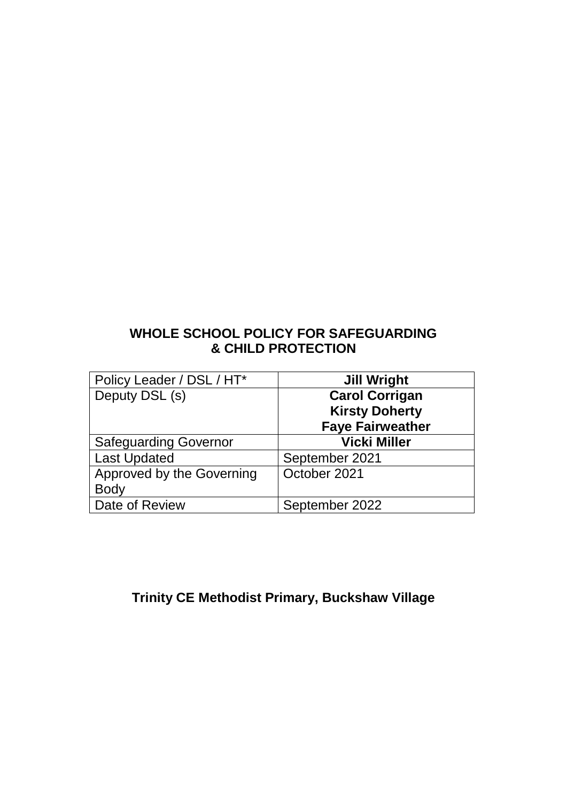## **WHOLE SCHOOL POLICY FOR SAFEGUARDING & CHILD PROTECTION**

| Policy Leader / DSL / HT*    | <b>Jill Wright</b>      |
|------------------------------|-------------------------|
| Deputy DSL (s)               | <b>Carol Corrigan</b>   |
|                              | <b>Kirsty Doherty</b>   |
|                              | <b>Faye Fairweather</b> |
| <b>Safeguarding Governor</b> | <b>Vicki Miller</b>     |
| <b>Last Updated</b>          | September 2021          |
| Approved by the Governing    | October 2021            |
| <b>Body</b>                  |                         |
| Date of Review               | September 2022          |

## **Trinity CE Methodist Primary, Buckshaw Village**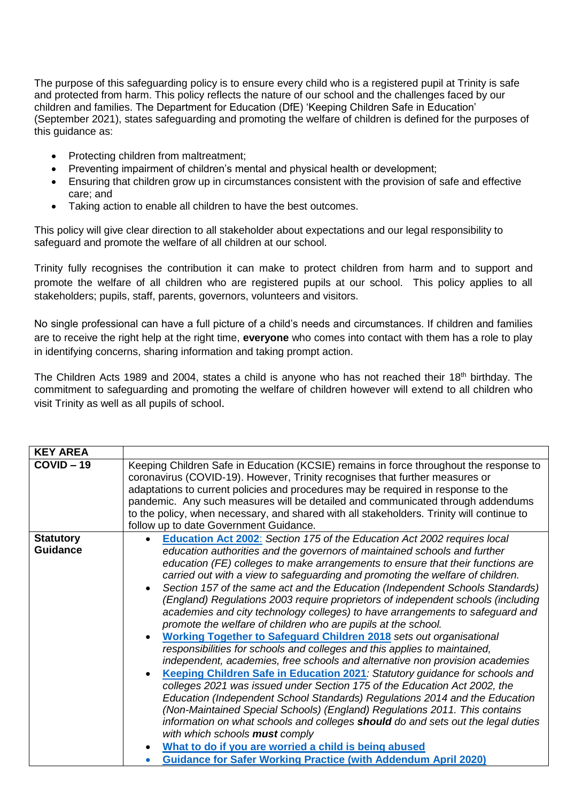The purpose of this safeguarding policy is to ensure every child who is a registered pupil at Trinity is safe and protected from harm. This policy reflects the nature of our school and the challenges faced by our children and families. The Department for Education (DfE) 'Keeping Children Safe in Education' (September 2021), states safeguarding and promoting the welfare of children is defined for the purposes of this guidance as:

- Protecting children from maltreatment;
- Preventing impairment of children's mental and physical health or development;
- Ensuring that children grow up in circumstances consistent with the provision of safe and effective care; and
- Taking action to enable all children to have the best outcomes.

This policy will give clear direction to all stakeholder about expectations and our legal responsibility to safeguard and promote the welfare of all children at our school.

Trinity fully recognises the contribution it can make to protect children from harm and to support and promote the welfare of all children who are registered pupils at our school. This policy applies to all stakeholders; pupils, staff, parents, governors, volunteers and visitors.

No single professional can have a full picture of a child's needs and circumstances. If children and families are to receive the right help at the right time, **everyone** who comes into contact with them has a role to play in identifying concerns, sharing information and taking prompt action.

The Children Acts 1989 and 2004, states a child is anyone who has not reached their 18<sup>th</sup> birthday. The commitment to safeguarding and promoting the welfare of children however will extend to all children who visit Trinity as well as all pupils of school.

| <b>KEY AREA</b>                     |                                                                                                                                                                                                                                                                                                                                                                                                                                                                                                                                                                                                                                                                                                                                                                                                                                                                                                                                                                                                                                                                                                                                                                                                                                                                                                                                                                                                                                                                               |
|-------------------------------------|-------------------------------------------------------------------------------------------------------------------------------------------------------------------------------------------------------------------------------------------------------------------------------------------------------------------------------------------------------------------------------------------------------------------------------------------------------------------------------------------------------------------------------------------------------------------------------------------------------------------------------------------------------------------------------------------------------------------------------------------------------------------------------------------------------------------------------------------------------------------------------------------------------------------------------------------------------------------------------------------------------------------------------------------------------------------------------------------------------------------------------------------------------------------------------------------------------------------------------------------------------------------------------------------------------------------------------------------------------------------------------------------------------------------------------------------------------------------------------|
| $COVID-19$                          | Keeping Children Safe in Education (KCSIE) remains in force throughout the response to<br>coronavirus (COVID-19). However, Trinity recognises that further measures or<br>adaptations to current policies and procedures may be required in response to the<br>pandemic. Any such measures will be detailed and communicated through addendums<br>to the policy, when necessary, and shared with all stakeholders. Trinity will continue to<br>follow up to date Government Guidance.                                                                                                                                                                                                                                                                                                                                                                                                                                                                                                                                                                                                                                                                                                                                                                                                                                                                                                                                                                                         |
| <b>Statutory</b><br><b>Guidance</b> | Education Act 2002: Section 175 of the Education Act 2002 requires local<br>education authorities and the governors of maintained schools and further<br>education (FE) colleges to make arrangements to ensure that their functions are<br>carried out with a view to safeguarding and promoting the welfare of children.<br>Section 157 of the same act and the Education (Independent Schools Standards)<br>(England) Regulations 2003 require proprietors of independent schools (including<br>academies and city technology colleges) to have arrangements to safeguard and<br>promote the welfare of children who are pupils at the school.<br><b>Working Together to Safeguard Children 2018</b> sets out organisational<br>responsibilities for schools and colleges and this applies to maintained,<br>independent, academies, free schools and alternative non provision academies<br>Keeping Children Safe in Education 2021: Statutory guidance for schools and<br>colleges 2021 was issued under Section 175 of the Education Act 2002, the<br>Education (Independent School Standards) Regulations 2014 and the Education<br>(Non-Maintained Special Schools) (England) Regulations 2011. This contains<br>information on what schools and colleges should do and sets out the legal duties<br>with which schools must comply<br>What to do if you are worried a child is being abused<br><b>Guidance for Safer Working Practice (with Addendum April 2020)</b> |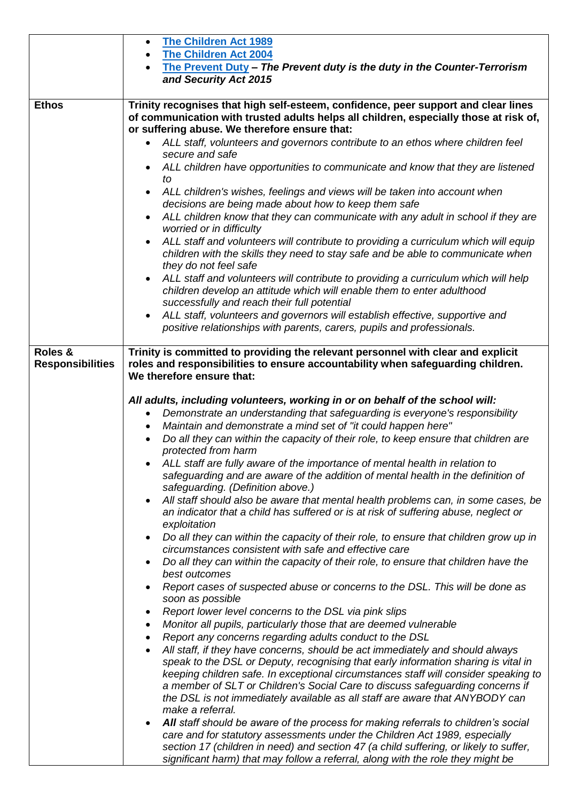|                         | <b>The Children Act 1989</b><br>$\bullet$                                                                                                                                                                                |
|-------------------------|--------------------------------------------------------------------------------------------------------------------------------------------------------------------------------------------------------------------------|
|                         | <b>The Children Act 2004</b>                                                                                                                                                                                             |
|                         | The Prevent Duty - The Prevent duty is the duty in the Counter-Terrorism                                                                                                                                                 |
|                         | and Security Act 2015                                                                                                                                                                                                    |
| <b>Ethos</b>            |                                                                                                                                                                                                                          |
|                         | Trinity recognises that high self-esteem, confidence, peer support and clear lines<br>of communication with trusted adults helps all children, especially those at risk of,                                              |
|                         | or suffering abuse. We therefore ensure that:<br>ALL staff, volunteers and governors contribute to an ethos where children feel                                                                                          |
|                         | secure and safe<br>ALL children have opportunities to communicate and know that they are listened                                                                                                                        |
|                         | to<br>ALL children's wishes, feelings and views will be taken into account when<br>$\bullet$                                                                                                                             |
|                         | decisions are being made about how to keep them safe                                                                                                                                                                     |
|                         | ALL children know that they can communicate with any adult in school if they are<br>worried or in difficulty                                                                                                             |
|                         | ALL staff and volunteers will contribute to providing a curriculum which will equip<br>$\bullet$<br>children with the skills they need to stay safe and be able to communicate when<br>they do not feel safe             |
|                         | ALL staff and volunteers will contribute to providing a curriculum which will help<br>$\bullet$<br>children develop an attitude which will enable them to enter adulthood<br>successfully and reach their full potential |
|                         | ALL staff, volunteers and governors will establish effective, supportive and<br>$\bullet$<br>positive relationships with parents, carers, pupils and professionals.                                                      |
| Roles &                 | Trinity is committed to providing the relevant personnel with clear and explicit                                                                                                                                         |
| <b>Responsibilities</b> | roles and responsibilities to ensure accountability when safeguarding children.                                                                                                                                          |
|                         | We therefore ensure that:                                                                                                                                                                                                |
|                         |                                                                                                                                                                                                                          |
|                         | All adults, including volunteers, working in or on behalf of the school will:                                                                                                                                            |
|                         | Demonstrate an understanding that safeguarding is everyone's responsibility<br>٠                                                                                                                                         |
|                         | Maintain and demonstrate a mind set of "it could happen here"<br>$\bullet$                                                                                                                                               |
|                         | Do all they can within the capacity of their role, to keep ensure that children are<br>$\bullet$<br>protected from harm                                                                                                  |
|                         | ALL staff are fully aware of the importance of mental health in relation to<br>safeguarding and are aware of the addition of mental health in the definition of                                                          |
|                         | safeguarding. (Definition above.)                                                                                                                                                                                        |
|                         | All staff should also be aware that mental health problems can, in some cases, be<br>$\bullet$<br>an indicator that a child has suffered or is at risk of suffering abuse, neglect or                                    |
|                         | exploitation<br>Do all they can within the capacity of their role, to ensure that children grow up in                                                                                                                    |
|                         | circumstances consistent with safe and effective care<br>Do all they can within the capacity of their role, to ensure that children have the<br>$\bullet$                                                                |
|                         | best outcomes<br>Report cases of suspected abuse or concerns to the DSL. This will be done as<br>$\bullet$                                                                                                               |
|                         | soon as possible                                                                                                                                                                                                         |
|                         | Report lower level concerns to the DSL via pink slips<br>٠                                                                                                                                                               |
|                         | Monitor all pupils, particularly those that are deemed vulnerable<br>٠<br>Report any concerns regarding adults conduct to the DSL<br>$\bullet$                                                                           |
|                         | All staff, if they have concerns, should be act immediately and should always<br>$\bullet$                                                                                                                               |
|                         | speak to the DSL or Deputy, recognising that early information sharing is vital in                                                                                                                                       |
|                         | keeping children safe. In exceptional circumstances staff will consider speaking to                                                                                                                                      |
|                         | a member of SLT or Children's Social Care to discuss safeguarding concerns if                                                                                                                                            |
|                         | the DSL is not immediately available as all staff are aware that ANYBODY can<br>make a referral.                                                                                                                         |
|                         | All staff should be aware of the process for making referrals to children's social<br>$\bullet$                                                                                                                          |
|                         | care and for statutory assessments under the Children Act 1989, especially                                                                                                                                               |
|                         | section 17 (children in need) and section 47 (a child suffering, or likely to suffer,                                                                                                                                    |
|                         | significant harm) that may follow a referral, along with the role they might be                                                                                                                                          |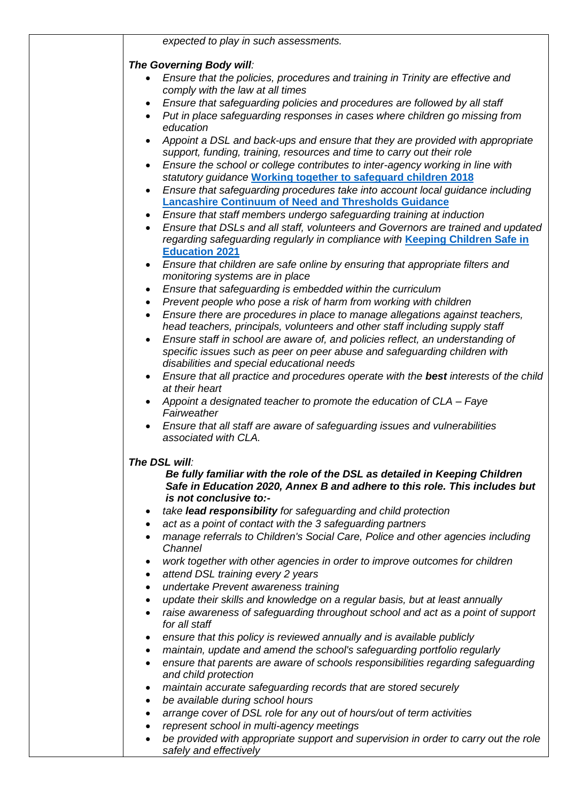|                        | expected to play in such assessments.                                                                                                                                              |
|------------------------|------------------------------------------------------------------------------------------------------------------------------------------------------------------------------------|
|                        | The Governing Body will:                                                                                                                                                           |
|                        | Ensure that the policies, procedures and training in Trinity are effective and                                                                                                     |
|                        | comply with the law at all times                                                                                                                                                   |
|                        | Ensure that safeguarding policies and procedures are followed by all staff                                                                                                         |
| $\bullet$              | Put in place safeguarding responses in cases where children go missing from                                                                                                        |
|                        | education                                                                                                                                                                          |
|                        | Appoint a DSL and back-ups and ensure that they are provided with appropriate                                                                                                      |
|                        | support, funding, training, resources and time to carry out their role                                                                                                             |
|                        | Ensure the school or college contributes to inter-agency working in line with                                                                                                      |
|                        | statutory guidance Working together to safeguard children 2018                                                                                                                     |
|                        | Ensure that safeguarding procedures take into account local guidance including<br><b>Lancashire Continuum of Need and Thresholds Guidance</b>                                      |
|                        | Ensure that staff members undergo safeguarding training at induction                                                                                                               |
| $\bullet$              | Ensure that DSLs and all staff, volunteers and Governors are trained and updated                                                                                                   |
|                        | regarding safeguarding regularly in compliance with Keeping Children Safe in                                                                                                       |
|                        | <b>Education 2021</b>                                                                                                                                                              |
|                        | Ensure that children are safe online by ensuring that appropriate filters and                                                                                                      |
|                        | monitoring systems are in place                                                                                                                                                    |
| ٠                      | Ensure that safeguarding is embedded within the curriculum                                                                                                                         |
| $\bullet$              | Prevent people who pose a risk of harm from working with children                                                                                                                  |
|                        | Ensure there are procedures in place to manage allegations against teachers,                                                                                                       |
|                        | head teachers, principals, volunteers and other staff including supply staff                                                                                                       |
|                        | Ensure staff in school are aware of, and policies reflect, an understanding of                                                                                                     |
|                        | specific issues such as peer on peer abuse and safeguarding children with                                                                                                          |
|                        | disabilities and special educational needs<br>Ensure that all practice and procedures operate with the best interests of the child                                                 |
|                        | at their heart                                                                                                                                                                     |
|                        | Appoint a designated teacher to promote the education of CLA - Faye                                                                                                                |
|                        | Fairweather                                                                                                                                                                        |
|                        | Ensure that all staff are aware of safeguarding issues and vulnerabilities                                                                                                         |
|                        | associated with CLA.                                                                                                                                                               |
|                        | The DSL will:                                                                                                                                                                      |
|                        | Be fully familiar with the role of the DSL as detailed in Keeping Children<br>Safe in Education 2020, Annex B and adhere to this role. This includes but<br>is not conclusive to:- |
| $\bullet$              | take lead responsibility for safeguarding and child protection                                                                                                                     |
| ٠                      | act as a point of contact with the 3 safeguarding partners                                                                                                                         |
|                        | manage referrals to Children's Social Care, Police and other agencies including                                                                                                    |
|                        | Channel                                                                                                                                                                            |
| $\bullet$              | work together with other agencies in order to improve outcomes for children                                                                                                        |
| $\bullet$              | attend DSL training every 2 years                                                                                                                                                  |
| $\bullet$              | undertake Prevent awareness training                                                                                                                                               |
| $\bullet$              | update their skills and knowledge on a regular basis, but at least annually                                                                                                        |
|                        | raise awareness of safeguarding throughout school and act as a point of support<br>for all staff                                                                                   |
|                        | ensure that this policy is reviewed annually and is available publicly                                                                                                             |
| $\bullet$              | maintain, update and amend the school's safeguarding portfolio regularly                                                                                                           |
| $\bullet$              | ensure that parents are aware of schools responsibilities regarding safeguarding                                                                                                   |
|                        | and child protection                                                                                                                                                               |
|                        | maintain accurate safeguarding records that are stored securely                                                                                                                    |
| ٠                      | be available during school hours                                                                                                                                                   |
|                        | arrange cover of DSL role for any out of hours/out of term activities                                                                                                              |
| $\bullet$<br>$\bullet$ | represent school in multi-agency meetings<br>be provided with appropriate support and supervision in order to carry out the role                                                   |
|                        | safely and effectively                                                                                                                                                             |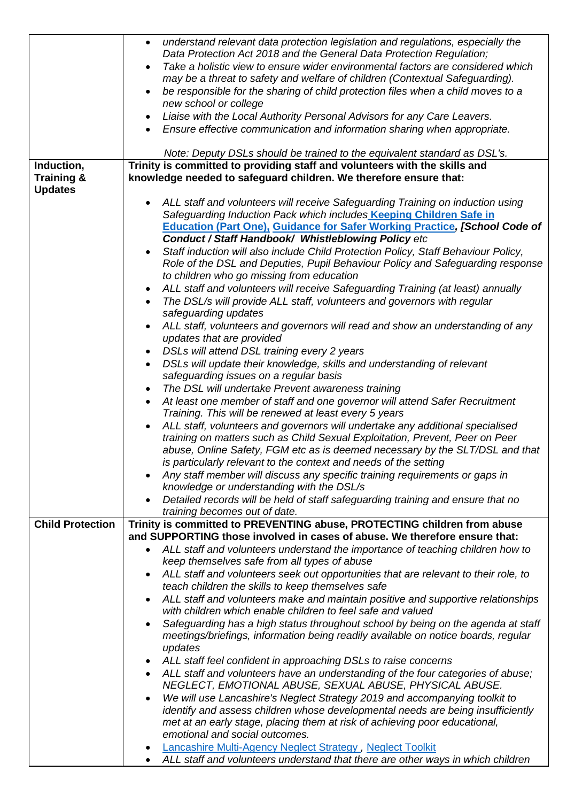|                         | understand relevant data protection legislation and regulations, especially the<br>$\bullet$                                                                               |
|-------------------------|----------------------------------------------------------------------------------------------------------------------------------------------------------------------------|
|                         | Data Protection Act 2018 and the General Data Protection Regulation;                                                                                                       |
|                         | Take a holistic view to ensure wider environmental factors are considered which<br>$\bullet$                                                                               |
|                         | may be a threat to safety and welfare of children (Contextual Safeguarding).<br>be responsible for the sharing of child protection files when a child moves to a           |
|                         | $\bullet$<br>new school or college                                                                                                                                         |
|                         | Liaise with the Local Authority Personal Advisors for any Care Leavers.<br>$\bullet$                                                                                       |
|                         | Ensure effective communication and information sharing when appropriate.                                                                                                   |
|                         |                                                                                                                                                                            |
|                         | Note: Deputy DSLs should be trained to the equivalent standard as DSL's.                                                                                                   |
| Induction,              | Trinity is committed to providing staff and volunteers with the skills and                                                                                                 |
| <b>Training &amp;</b>   | knowledge needed to safeguard children. We therefore ensure that:                                                                                                          |
| <b>Updates</b>          |                                                                                                                                                                            |
|                         | ALL staff and volunteers will receive Safeguarding Training on induction using<br>Safeguarding Induction Pack which includes Keeping Children Safe in                      |
|                         | <b>Education (Part One), Guidance for Safer Working Practice, [School Code of</b>                                                                                          |
|                         | Conduct / Staff Handbook/ Whistleblowing Policy etc                                                                                                                        |
|                         | Staff induction will also include Child Protection Policy, Staff Behaviour Policy,<br>$\bullet$                                                                            |
|                         | Role of the DSL and Deputies, Pupil Behaviour Policy and Safeguarding response                                                                                             |
|                         | to children who go missing from education                                                                                                                                  |
|                         | ALL staff and volunteers will receive Safeguarding Training (at least) annually                                                                                            |
|                         | The DSL/s will provide ALL staff, volunteers and governors with regular                                                                                                    |
|                         | safeguarding updates                                                                                                                                                       |
|                         | ALL staff, volunteers and governors will read and show an understanding of any<br>$\bullet$                                                                                |
|                         | updates that are provided                                                                                                                                                  |
|                         | DSLs will attend DSL training every 2 years<br>$\bullet$                                                                                                                   |
|                         | DSLs will update their knowledge, skills and understanding of relevant<br>safeguarding issues on a regular basis                                                           |
|                         | The DSL will undertake Prevent awareness training<br>٠                                                                                                                     |
|                         | At least one member of staff and one governor will attend Safer Recruitment<br>$\bullet$                                                                                   |
|                         | Training. This will be renewed at least every 5 years                                                                                                                      |
|                         | ALL staff, volunteers and governors will undertake any additional specialised                                                                                              |
|                         | training on matters such as Child Sexual Exploitation, Prevent, Peer on Peer                                                                                               |
|                         | abuse, Online Safety, FGM etc as is deemed necessary by the SLT/DSL and that                                                                                               |
|                         | is particularly relevant to the context and needs of the setting                                                                                                           |
|                         | Any staff member will discuss any specific training requirements or gaps in<br>$\bullet$                                                                                   |
|                         | knowledge or understanding with the DSL/s                                                                                                                                  |
|                         | Detailed records will be held of staff safeguarding training and ensure that no<br>$\bullet$                                                                               |
|                         | training becomes out of date.                                                                                                                                              |
| <b>Child Protection</b> | Trinity is committed to PREVENTING abuse, PROTECTING children from abuse<br>and SUPPORTING those involved in cases of abuse. We therefore ensure that:                     |
|                         | ALL staff and volunteers understand the importance of teaching children how to<br>$\bullet$                                                                                |
|                         | keep themselves safe from all types of abuse                                                                                                                               |
|                         | ALL staff and volunteers seek out opportunities that are relevant to their role, to                                                                                        |
|                         | teach children the skills to keep themselves safe                                                                                                                          |
|                         | ALL staff and volunteers make and maintain positive and supportive relationships<br>$\bullet$                                                                              |
|                         | with children which enable children to feel safe and valued                                                                                                                |
|                         | Safeguarding has a high status throughout school by being on the agenda at staff<br>$\bullet$                                                                              |
|                         | meetings/briefings, information being readily available on notice boards, regular                                                                                          |
|                         | updates                                                                                                                                                                    |
|                         | ALL staff feel confident in approaching DSLs to raise concerns                                                                                                             |
|                         | ALL staff and volunteers have an understanding of the four categories of abuse;<br>$\bullet$                                                                               |
|                         | NEGLECT, EMOTIONAL ABUSE, SEXUAL ABUSE, PHYSICAL ABUSE.                                                                                                                    |
|                         | We will use Lancashire's Neglect Strategy 2019 and accompanying toolkit to<br>$\bullet$<br>identify and assess children whose developmental needs are being insufficiently |
|                         | met at an early stage, placing them at risk of achieving poor educational,                                                                                                 |
|                         | emotional and social outcomes.                                                                                                                                             |
|                         | Lancashire Multi-Agency Neglect Strategy, Neglect Toolkit                                                                                                                  |
|                         | ALL staff and volunteers understand that there are other ways in which children                                                                                            |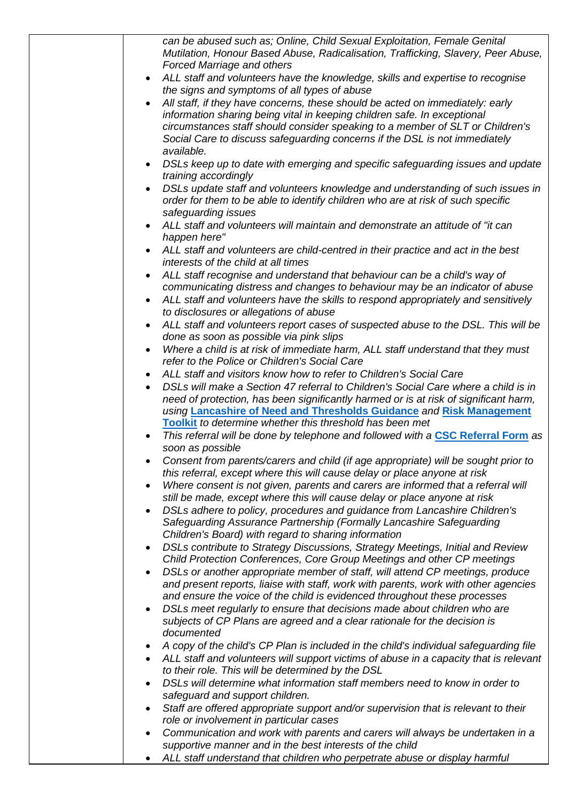|           | can be abused such as; Online, Child Sexual Exploitation, Female Genital<br>Mutilation, Honour Based Abuse, Radicalisation, Trafficking, Slavery, Peer Abuse,<br><b>Forced Marriage and others</b>                                                                                                                                     |
|-----------|----------------------------------------------------------------------------------------------------------------------------------------------------------------------------------------------------------------------------------------------------------------------------------------------------------------------------------------|
| $\bullet$ | ALL staff and volunteers have the knowledge, skills and expertise to recognise<br>the signs and symptoms of all types of abuse                                                                                                                                                                                                         |
|           | All staff, if they have concerns, these should be acted on immediately: early<br>information sharing being vital in keeping children safe. In exceptional<br>circumstances staff should consider speaking to a member of SLT or Children's<br>Social Care to discuss safeguarding concerns if the DSL is not immediately<br>available. |
| $\bullet$ | DSLs keep up to date with emerging and specific safeguarding issues and update<br>training accordingly                                                                                                                                                                                                                                 |
|           | DSLs update staff and volunteers knowledge and understanding of such issues in<br>order for them to be able to identify children who are at risk of such specific<br>safeguarding issues                                                                                                                                               |
| $\bullet$ | ALL staff and volunteers will maintain and demonstrate an attitude of "it can<br>happen here"                                                                                                                                                                                                                                          |
|           | ALL staff and volunteers are child-centred in their practice and act in the best<br>interests of the child at all times                                                                                                                                                                                                                |
|           | ALL staff recognise and understand that behaviour can be a child's way of<br>communicating distress and changes to behaviour may be an indicator of abuse                                                                                                                                                                              |
| ٠         | ALL staff and volunteers have the skills to respond appropriately and sensitively<br>to disclosures or allegations of abuse                                                                                                                                                                                                            |
| $\bullet$ | ALL staff and volunteers report cases of suspected abuse to the DSL. This will be<br>done as soon as possible via pink slips                                                                                                                                                                                                           |
|           | Where a child is at risk of immediate harm, ALL staff understand that they must<br>refer to the Police or Children's Social Care                                                                                                                                                                                                       |
| ٠         | ALL staff and visitors know how to refer to Children's Social Care                                                                                                                                                                                                                                                                     |
| $\bullet$ | DSLs will make a Section 47 referral to Children's Social Care where a child is in<br>need of protection, has been significantly harmed or is at risk of significant harm,<br>using Lancashire of Need and Thresholds Guidance and Risk Management                                                                                     |
|           | Toolkit to determine whether this threshold has been met                                                                                                                                                                                                                                                                               |
|           | This referral will be done by telephone and followed with a CSC Referral Form as<br>soon as possible                                                                                                                                                                                                                                   |
|           | Consent from parents/carers and child (if age appropriate) will be sought prior to<br>this referral, except where this will cause delay or place anyone at risk                                                                                                                                                                        |
| $\bullet$ | Where consent is not given, parents and carers are informed that a referral will                                                                                                                                                                                                                                                       |
| $\bullet$ | still be made, except where this will cause delay or place anyone at risk<br>DSLs adhere to policy, procedures and guidance from Lancashire Children's<br>Safeguarding Assurance Partnership (Formally Lancashire Safeguarding<br>Children's Board) with regard to sharing information                                                 |
| $\bullet$ | DSLs contribute to Strategy Discussions, Strategy Meetings, Initial and Review<br>Child Protection Conferences, Core Group Meetings and other CP meetings                                                                                                                                                                              |
| $\bullet$ | DSLs or another appropriate member of staff, will attend CP meetings, produce<br>and present reports, liaise with staff, work with parents, work with other agencies<br>and ensure the voice of the child is evidenced throughout these processes                                                                                      |
| ٠         | DSLs meet regularly to ensure that decisions made about children who are<br>subjects of CP Plans are agreed and a clear rationale for the decision is<br>documented                                                                                                                                                                    |
|           |                                                                                                                                                                                                                                                                                                                                        |
|           | A copy of the child's CP Plan is included in the child's individual safeguarding file<br>ALL staff and volunteers will support victims of abuse in a capacity that is relevant                                                                                                                                                         |
|           | to their role. This will be determined by the DSL                                                                                                                                                                                                                                                                                      |
| $\bullet$ | DSLs will determine what information staff members need to know in order to                                                                                                                                                                                                                                                            |
|           | safeguard and support children.                                                                                                                                                                                                                                                                                                        |
| $\bullet$ | Staff are offered appropriate support and/or supervision that is relevant to their                                                                                                                                                                                                                                                     |
|           | role or involvement in particular cases                                                                                                                                                                                                                                                                                                |
|           | Communication and work with parents and carers will always be undertaken in a                                                                                                                                                                                                                                                          |
|           | supportive manner and in the best interests of the child                                                                                                                                                                                                                                                                               |
| ٠         | ALL staff understand that children who perpetrate abuse or display harmful                                                                                                                                                                                                                                                             |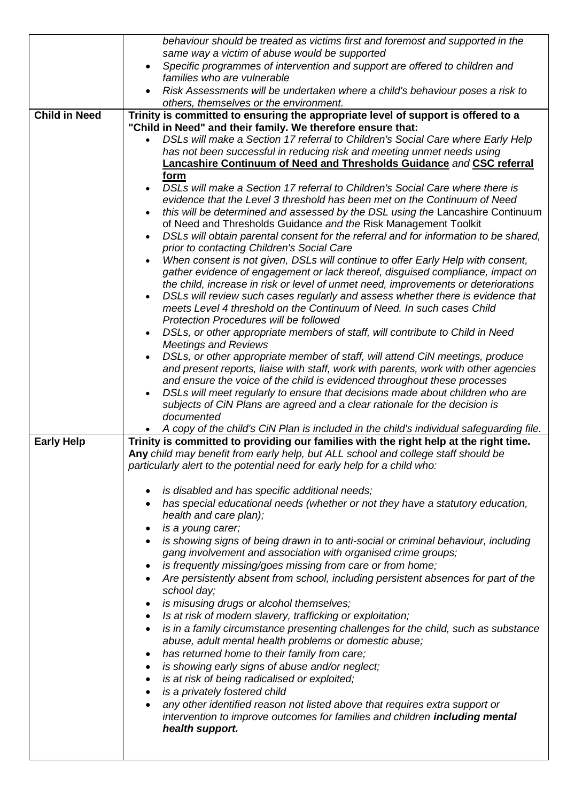|                      | behaviour should be treated as victims first and foremost and supported in the                                                                                                    |
|----------------------|-----------------------------------------------------------------------------------------------------------------------------------------------------------------------------------|
|                      | same way a victim of abuse would be supported                                                                                                                                     |
|                      | Specific programmes of intervention and support are offered to children and<br>$\bullet$                                                                                          |
|                      | families who are vulnerable                                                                                                                                                       |
|                      | Risk Assessments will be undertaken where a child's behaviour poses a risk to                                                                                                     |
| <b>Child in Need</b> | others, themselves or the environment.<br>Trinity is committed to ensuring the appropriate level of support is offered to a                                                       |
|                      | "Child in Need" and their family. We therefore ensure that:                                                                                                                       |
|                      | DSLs will make a Section 17 referral to Children's Social Care where Early Help                                                                                                   |
|                      | has not been successful in reducing risk and meeting unmet needs using                                                                                                            |
|                      | Lancashire Continuum of Need and Thresholds Guidance and CSC referral                                                                                                             |
|                      | form                                                                                                                                                                              |
|                      | DSLs will make a Section 17 referral to Children's Social Care where there is<br>$\bullet$                                                                                        |
|                      | evidence that the Level 3 threshold has been met on the Continuum of Need                                                                                                         |
|                      | this will be determined and assessed by the DSL using the Lancashire Continuum<br>$\bullet$                                                                                       |
|                      | of Need and Thresholds Guidance and the Risk Management Toolkit                                                                                                                   |
|                      | DSLs will obtain parental consent for the referral and for information to be shared,<br>$\bullet$<br>prior to contacting Children's Social Care                                   |
|                      | When consent is not given, DSLs will continue to offer Early Help with consent,<br>$\bullet$                                                                                      |
|                      | gather evidence of engagement or lack thereof, disguised compliance, impact on                                                                                                    |
|                      | the child, increase in risk or level of unmet need, improvements or deteriorations                                                                                                |
|                      | DSLs will review such cases regularly and assess whether there is evidence that<br>$\bullet$                                                                                      |
|                      | meets Level 4 threshold on the Continuum of Need. In such cases Child                                                                                                             |
|                      | Protection Procedures will be followed                                                                                                                                            |
|                      | DSLs, or other appropriate members of staff, will contribute to Child in Need<br>$\bullet$                                                                                        |
|                      | <b>Meetings and Reviews</b>                                                                                                                                                       |
|                      | DSLs, or other appropriate member of staff, will attend CiN meetings, produce<br>$\bullet$<br>and present reports, liaise with staff, work with parents, work with other agencies |
|                      | and ensure the voice of the child is evidenced throughout these processes                                                                                                         |
|                      | DSLs will meet regularly to ensure that decisions made about children who are<br>$\bullet$                                                                                        |
|                      | subjects of CiN Plans are agreed and a clear rationale for the decision is                                                                                                        |
|                      | documented                                                                                                                                                                        |
|                      | A copy of the child's CiN Plan is included in the child's individual safeguarding file.                                                                                           |
| <b>Early Help</b>    | Trinity is committed to providing our families with the right help at the right time.                                                                                             |
|                      | Any child may benefit from early help, but ALL school and college staff should be                                                                                                 |
|                      | particularly alert to the potential need for early help for a child who:                                                                                                          |
|                      | is disabled and has specific additional needs;                                                                                                                                    |
|                      | ٠<br>has special educational needs (whether or not they have a statutory education,<br>٠                                                                                          |
|                      | health and care plan);                                                                                                                                                            |
|                      | is a young carer;<br>٠                                                                                                                                                            |
|                      | is showing signs of being drawn in to anti-social or criminal behaviour, including<br>$\bullet$                                                                                   |
|                      | gang involvement and association with organised crime groups;                                                                                                                     |
|                      | is frequently missing/goes missing from care or from home;<br>٠                                                                                                                   |
|                      | Are persistently absent from school, including persistent absences for part of the<br>$\bullet$                                                                                   |
|                      | school day;                                                                                                                                                                       |
|                      | is misusing drugs or alcohol themselves;<br>٠                                                                                                                                     |
|                      | Is at risk of modern slavery, trafficking or exploitation;<br>$\bullet$                                                                                                           |
|                      |                                                                                                                                                                                   |
|                      | is in a family circumstance presenting challenges for the child, such as substance<br>$\bullet$                                                                                   |
|                      | abuse, adult mental health problems or domestic abuse;                                                                                                                            |
|                      | has returned home to their family from care;<br>٠                                                                                                                                 |
|                      | is showing early signs of abuse and/or neglect;<br>٠                                                                                                                              |
|                      | is at risk of being radicalised or exploited;<br>٠                                                                                                                                |
|                      | is a privately fostered child<br>٠                                                                                                                                                |
|                      | any other identified reason not listed above that requires extra support or<br>$\bullet$                                                                                          |
|                      | intervention to improve outcomes for families and children including mental<br>health support.                                                                                    |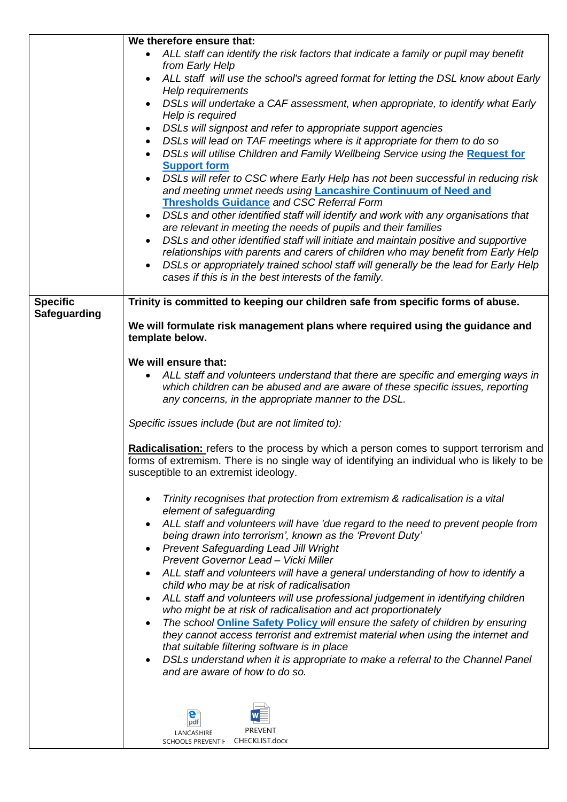|                     | We therefore ensure that:                                                                                                                                                                                                                                                                                                                                                                                                                                                                                                                                                                                                                                                                                                                                                                                                                                                                                                                                                       |  |
|---------------------|---------------------------------------------------------------------------------------------------------------------------------------------------------------------------------------------------------------------------------------------------------------------------------------------------------------------------------------------------------------------------------------------------------------------------------------------------------------------------------------------------------------------------------------------------------------------------------------------------------------------------------------------------------------------------------------------------------------------------------------------------------------------------------------------------------------------------------------------------------------------------------------------------------------------------------------------------------------------------------|--|
|                     | ALL staff can identify the risk factors that indicate a family or pupil may benefit<br>from Early Help                                                                                                                                                                                                                                                                                                                                                                                                                                                                                                                                                                                                                                                                                                                                                                                                                                                                          |  |
|                     | ALL staff will use the school's agreed format for letting the DSL know about Early<br>٠<br>Help requirements                                                                                                                                                                                                                                                                                                                                                                                                                                                                                                                                                                                                                                                                                                                                                                                                                                                                    |  |
|                     | DSLs will undertake a CAF assessment, when appropriate, to identify what Early<br>Help is required                                                                                                                                                                                                                                                                                                                                                                                                                                                                                                                                                                                                                                                                                                                                                                                                                                                                              |  |
|                     | DSLs will signpost and refer to appropriate support agencies<br>DSLs will lead on TAF meetings where is it appropriate for them to do so<br>DSLs will utilise Children and Family Wellbeing Service using the Request for<br><b>Support form</b><br>DSLs will refer to CSC where Early Help has not been successful in reducing risk<br>and meeting unmet needs using <b>Lancashire Continuum of Need and</b><br><b>Thresholds Guidance and CSC Referral Form</b><br>DSLs and other identified staff will identify and work with any organisations that<br>$\bullet$<br>are relevant in meeting the needs of pupils and their families<br>DSLs and other identified staff will initiate and maintain positive and supportive<br>$\bullet$<br>relationships with parents and carers of children who may benefit from Early Help<br>DSLs or appropriately trained school staff will generally be the lead for Early Help<br>cases if this is in the best interests of the family. |  |
| <b>Specific</b>     | Trinity is committed to keeping our children safe from specific forms of abuse.                                                                                                                                                                                                                                                                                                                                                                                                                                                                                                                                                                                                                                                                                                                                                                                                                                                                                                 |  |
| <b>Safeguarding</b> | We will formulate risk management plans where required using the guidance and                                                                                                                                                                                                                                                                                                                                                                                                                                                                                                                                                                                                                                                                                                                                                                                                                                                                                                   |  |
|                     | template below.                                                                                                                                                                                                                                                                                                                                                                                                                                                                                                                                                                                                                                                                                                                                                                                                                                                                                                                                                                 |  |
|                     | We will ensure that:                                                                                                                                                                                                                                                                                                                                                                                                                                                                                                                                                                                                                                                                                                                                                                                                                                                                                                                                                            |  |
|                     | ALL staff and volunteers understand that there are specific and emerging ways in<br>٠<br>which children can be abused and are aware of these specific issues, reporting<br>any concerns, in the appropriate manner to the DSL.                                                                                                                                                                                                                                                                                                                                                                                                                                                                                                                                                                                                                                                                                                                                                  |  |
|                     | Specific issues include (but are not limited to):                                                                                                                                                                                                                                                                                                                                                                                                                                                                                                                                                                                                                                                                                                                                                                                                                                                                                                                               |  |
|                     | Radicalisation: refers to the process by which a person comes to support terrorism and<br>forms of extremism. There is no single way of identifying an individual who is likely to be<br>susceptible to an extremist ideology.                                                                                                                                                                                                                                                                                                                                                                                                                                                                                                                                                                                                                                                                                                                                                  |  |
|                     | Trinity recognises that protection from extremism & radicalisation is a vital<br>element of safeguarding                                                                                                                                                                                                                                                                                                                                                                                                                                                                                                                                                                                                                                                                                                                                                                                                                                                                        |  |
|                     | ALL staff and volunteers will have 'due regard to the need to prevent people from<br>being drawn into terrorism', known as the 'Prevent Duty'<br><b>Prevent Safeguarding Lead Jill Wright</b>                                                                                                                                                                                                                                                                                                                                                                                                                                                                                                                                                                                                                                                                                                                                                                                   |  |
|                     | Prevent Governor Lead - Vicki Miller                                                                                                                                                                                                                                                                                                                                                                                                                                                                                                                                                                                                                                                                                                                                                                                                                                                                                                                                            |  |
|                     | ALL staff and volunteers will have a general understanding of how to identify a<br>child who may be at risk of radicalisation                                                                                                                                                                                                                                                                                                                                                                                                                                                                                                                                                                                                                                                                                                                                                                                                                                                   |  |
|                     | ALL staff and volunteers will use professional judgement in identifying children<br>who might be at risk of radicalisation and act proportionately                                                                                                                                                                                                                                                                                                                                                                                                                                                                                                                                                                                                                                                                                                                                                                                                                              |  |
|                     | The school <b>Online Safety Policy</b> will ensure the safety of children by ensuring<br>٠<br>they cannot access terrorist and extremist material when using the internet and                                                                                                                                                                                                                                                                                                                                                                                                                                                                                                                                                                                                                                                                                                                                                                                                   |  |
|                     | that suitable filtering software is in place<br>DSLs understand when it is appropriate to make a referral to the Channel Panel                                                                                                                                                                                                                                                                                                                                                                                                                                                                                                                                                                                                                                                                                                                                                                                                                                                  |  |
|                     | and are aware of how to do so.                                                                                                                                                                                                                                                                                                                                                                                                                                                                                                                                                                                                                                                                                                                                                                                                                                                                                                                                                  |  |
|                     |                                                                                                                                                                                                                                                                                                                                                                                                                                                                                                                                                                                                                                                                                                                                                                                                                                                                                                                                                                                 |  |
|                     | pdf<br><b>PREVENT</b>                                                                                                                                                                                                                                                                                                                                                                                                                                                                                                                                                                                                                                                                                                                                                                                                                                                                                                                                                           |  |
|                     | LANCASHIRE<br>SCHOOLS PREVENT + CHECKLIST.docx                                                                                                                                                                                                                                                                                                                                                                                                                                                                                                                                                                                                                                                                                                                                                                                                                                                                                                                                  |  |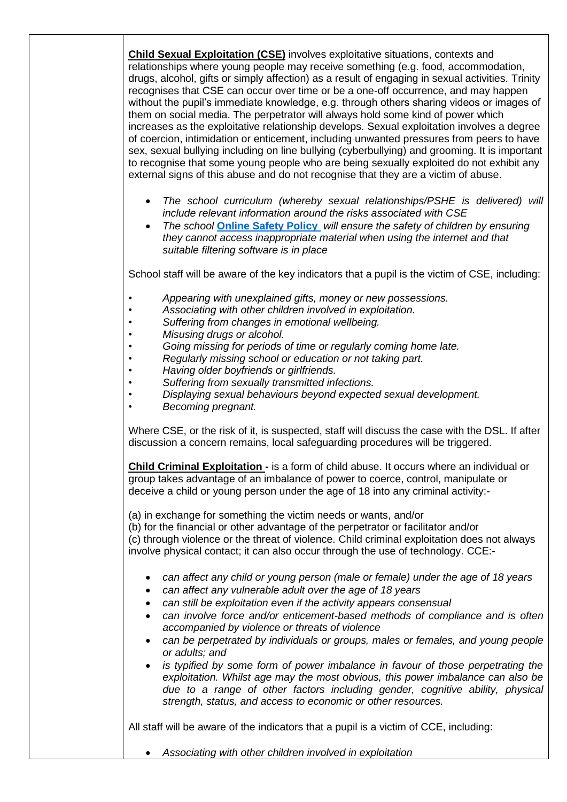**Child Sexual Exploitation (CSE)** involves exploitative situations, contexts and relationships where young people may receive something (e.g. food, accommodation, drugs, alcohol, gifts or simply affection) as a result of engaging in sexual activities. Trinity recognises that CSE can occur over time or be a one-off occurrence, and may happen without the pupil's immediate knowledge, e.g. through others sharing videos or images of them on social media. The perpetrator will always hold some kind of power which increases as the exploitative relationship develops. Sexual exploitation involves a degree of coercion, intimidation or enticement, including unwanted pressures from peers to have sex, sexual bullying including on line bullying (cyberbullying) and grooming. It is important to recognise that some young people who are being sexually exploited do not exhibit any external signs of this abuse and do not recognise that they are a victim of abuse.

- *The school curriculum (whereby sexual relationships/PSHE is delivered) will include relevant information around the risks associated with CSE*
- *The school* **[Online Safety Policy](file://///09064-vm-fs-1/teachers$/Admin/Policies/Curriculum/Trinity%20Online%20safety%20Policy%20May%202019.doc)** *will ensure the safety of children by ensuring they cannot access inappropriate material when using the internet and that suitable filtering software is in place*

School staff will be aware of the key indicators that a pupil is the victim of CSE, including:

- *• Appearing with unexplained gifts, money or new possessions.*
- *• Associating with other children involved in exploitation.*
- *• Suffering from changes in emotional wellbeing.*
- *• Misusing drugs or alcohol.*
- *• Going missing for periods of time or regularly coming home late.*
- *• Regularly missing school or education or not taking part.*
- *• Having older boyfriends or girlfriends.*
- *• Suffering from sexually transmitted infections.*
- *• Displaying sexual behaviours beyond expected sexual development.*
- *• Becoming pregnant.*

Where CSE, or the risk of it, is suspected, staff will discuss the case with the DSL. If after discussion a concern remains, local safeguarding procedures will be triggered.

**Child Criminal Exploitation -** is a form of child abuse. It occurs where an individual or group takes advantage of an imbalance of power to coerce, control, manipulate or deceive a child or young person under the age of 18 into any criminal activity:-

(a) in exchange for something the victim needs or wants, and/or

(b) for the financial or other advantage of the perpetrator or facilitator and/or (c) through violence or the threat of violence. Child criminal exploitation does not always involve physical contact; it can also occur through the use of technology. CCE:-

- *can affect any child or young person (male or female) under the age of 18 years*
- *can affect any vulnerable adult over the age of 18 years*
- *can still be exploitation even if the activity appears consensual*
- *can involve force and/or enticement-based methods of compliance and is often accompanied by violence or threats of violence*
- *can be perpetrated by individuals or groups, males or females, and young people or adults; and*
- *is typified by some form of power imbalance in favour of those perpetrating the exploitation. Whilst age may the most obvious, this power imbalance can also be due to a range of other factors including gender, cognitive ability, physical strength, status, and access to economic or other resources.*

All staff will be aware of the indicators that a pupil is a victim of CCE, including:

*Associating with other children involved in exploitation*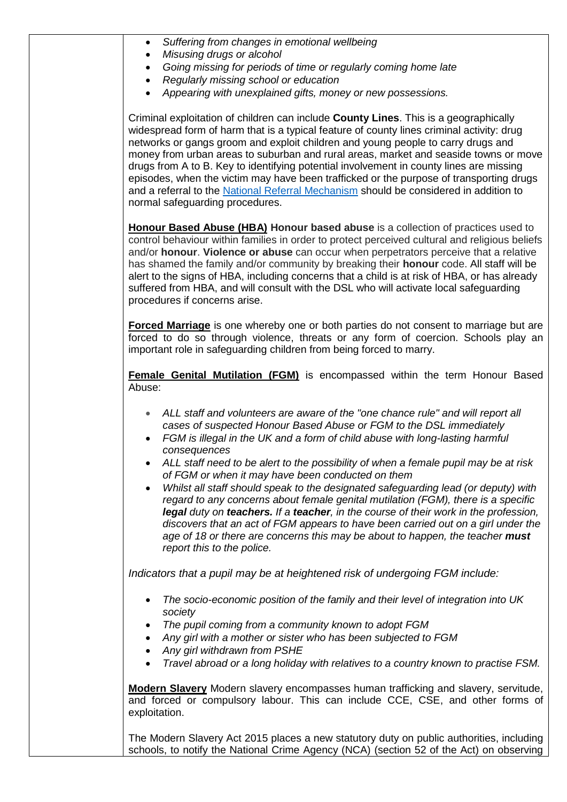|  | Suffering from changes in emotional wellbeing |  |  |  |
|--|-----------------------------------------------|--|--|--|
|--|-----------------------------------------------|--|--|--|

- *Misusing drugs or alcohol*
- *Going missing for periods of time or regularly coming home late*
- *Regularly missing school or education*
- *Appearing with unexplained gifts, money or new possessions.*

Criminal exploitation of children can include **County Lines**. This is a geographically widespread form of harm that is a typical feature of county lines criminal activity: drug networks or gangs groom and exploit children and young people to carry drugs and money from urban areas to suburban and rural areas, market and seaside towns or move drugs from A to B. Key to identifying potential involvement in county lines are missing episodes, when the victim may have been trafficked or the purpose of transporting drugs and a referral to the [National Referral Mechanism](https://www.gov.uk/government/publications/human-trafficking-victims-referral-and-assessment-forms/guidance-on-the-national-referral-mechanism-for-potential-adult-victims-of-modern-slavery-england-and-wales#what-the-national-referral-mechanism-is) should be considered in addition to normal safeguarding procedures.

**Honour Based Abuse (HBA) Honour based abuse** is a collection of practices used to control behaviour within families in order to protect perceived cultural and religious beliefs and/or **honour**. **Violence or abuse** can occur when perpetrators perceive that a relative has shamed the family and/or community by breaking their **honour** code. All staff will be alert to the signs of HBA, including concerns that a child is at risk of HBA, or has already suffered from HBA, and will consult with the DSL who will activate local safeguarding procedures if concerns arise.

**Forced Marriage** is one whereby one or both parties do not consent to marriage but are forced to do so through violence, threats or any form of coercion. Schools play an important role in safeguarding children from being forced to marry.

**Female Genital Mutilation (FGM)** is encompassed within the term Honour Based Abuse:

- ALL staff and volunteers are aware of the "one chance rule" and will report all *cases of suspected Honour Based Abuse or FGM to the DSL immediately*
- *FGM is illegal in the UK and a form of child abuse with long-lasting harmful consequences*
- *ALL staff need to be alert to the possibility of when a female pupil may be at risk of FGM or when it may have been conducted on them*
- *Whilst all staff should speak to the designated safeguarding lead (or deputy) with regard to any concerns about female genital mutilation (FGM), there is a specific legal duty on teachers. If a teacher, in the course of their work in the profession, discovers that an act of FGM appears to have been carried out on a girl under the age of 18 or there are concerns this may be about to happen, the teacher must report this to the police.*

*Indicators that a pupil may be at heightened risk of undergoing FGM include:*

- *The socio-economic position of the family and their level of integration into UK society*
- *The pupil coming from a community known to adopt FGM*
- *Any girl with a mother or sister who has been subjected to FGM*
- *Any girl withdrawn from PSHE*
- *Travel abroad or a long holiday with relatives to a country known to practise FSM.*

**Modern Slavery** Modern slavery encompasses human trafficking and slavery, servitude, and forced or compulsory labour. This can include CCE, CSE, and other forms of exploitation.

The Modern Slavery Act 2015 places a new statutory duty on public authorities, including schools, to notify the National Crime Agency (NCA) (section 52 of the Act) on observing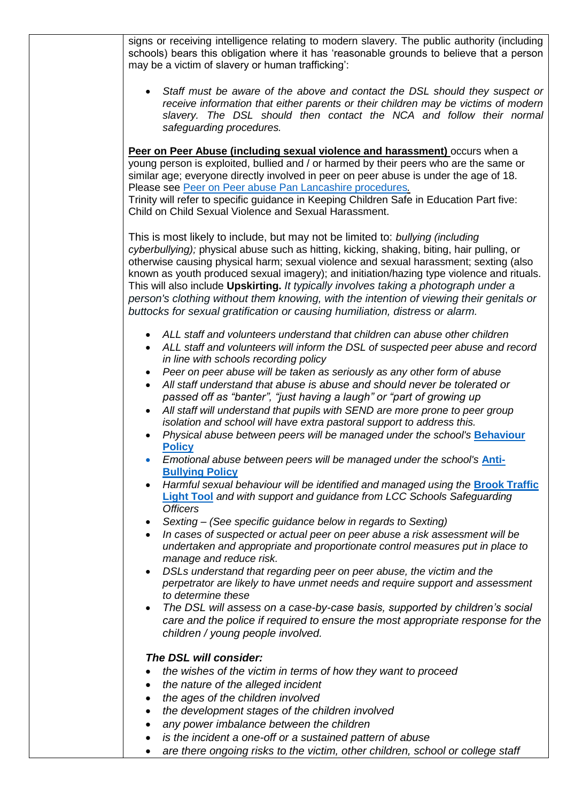signs or receiving intelligence relating to modern slavery. The public authority (including schools) bears this obligation where it has 'reasonable grounds to believe that a person may be a victim of slavery or human trafficking': *Staff must be aware of the above and contact the DSL should they suspect or receive information that either parents or their children may be victims of modern slavery. The DSL should then contact the NCA and follow their normal safeguarding procedures.*  **Peer on Peer Abuse (including sexual violence and harassment)** occurs when a young person is exploited, bullied and / or harmed by their peers who are the same or similar age; everyone directly involved in peer on peer abuse is under the age of 18. Please see [Peer on Peer abuse Pan Lancashire procedures](https://panlancashirescb.proceduresonline.com/chapters/p_peer_abuse.html)*.* Trinity will refer to specific guidance in Keeping Children Safe in Education Part five: Child on Child Sexual Violence and Sexual Harassment. This is most likely to include, but may not be limited to: *bullying (including cyberbullying);* physical abuse such as hitting, kicking, shaking, biting, hair pulling, or otherwise causing physical harm; sexual violence and sexual harassment; sexting (also known as youth produced sexual imagery); and initiation/hazing type violence and rituals. This will also include **Upskirting.** *It typically involves taking a photograph under a person's clothing without them knowing, with the intention of viewing their genitals or buttocks for sexual gratification or causing humiliation, distress or alarm. ALL staff and volunteers understand that children can abuse other children* • ALL staff and volunteers will inform the DSL of suspected peer abuse and record *in line with schools recording policy Peer on peer abuse will be taken as seriously as any other form of abuse All staff understand that abuse is abuse and should never be tolerated or passed off as "banter", "just having a laugh" or "part of growing up All staff will understand that pupils with SEND are more prone to peer group isolation and school will have extra pastoral support to address this.*  • Physical abuse between peers will be managed under the school's **Behaviour [Policy](file://///09064-vm-fs-1/teachers$/Admin/Policies/Behaviour%20and%20Safety/Trinity%20Behaviour%20Policy%20UPDATED%202020.docx) Emotional abuse between peers will be managed under the school's [Anti-](file://///09064-vm-fs-1/teachers$/Admin/Policies/Behaviour%20and%20Safety/Trinity%20Behaviour%20Policy%20UPDATED%202020.docx)[Bullying Policy](file://///09064-vm-fs-1/teachers$/Admin/Policies/Behaviour%20and%20Safety/Trinity%20Behaviour%20Policy%20UPDATED%202020.docx)** • Harmful sexual behaviour will be identified and managed using the **Brook Traffic [Light Tool](https://www.brook.org.uk/our-work/category/sexual-behaviours-traffic-light-tool)** *and with support and guidance from LCC Schools Safeguarding Officers Sexting – (See specific guidance below in regards to Sexting) In cases of suspected or actual peer on peer abuse a risk assessment will be undertaken and appropriate and proportionate control measures put in place to manage and reduce risk. DSLs understand that regarding peer on peer abuse, the victim and the perpetrator are likely to have unmet needs and require support and assessment to determine these The DSL will assess on a case-by-case basis, supported by children's social care and the police if required to ensure the most appropriate response for the children / young people involved. The DSL will consider: the wishes of the victim in terms of how they want to proceed the nature of the alleged incident the ages of the children involved the development stages of the children involved any power imbalance between the children is the incident a one-off or a sustained pattern of abuse are there ongoing risks to the victim, other children, school or college staff*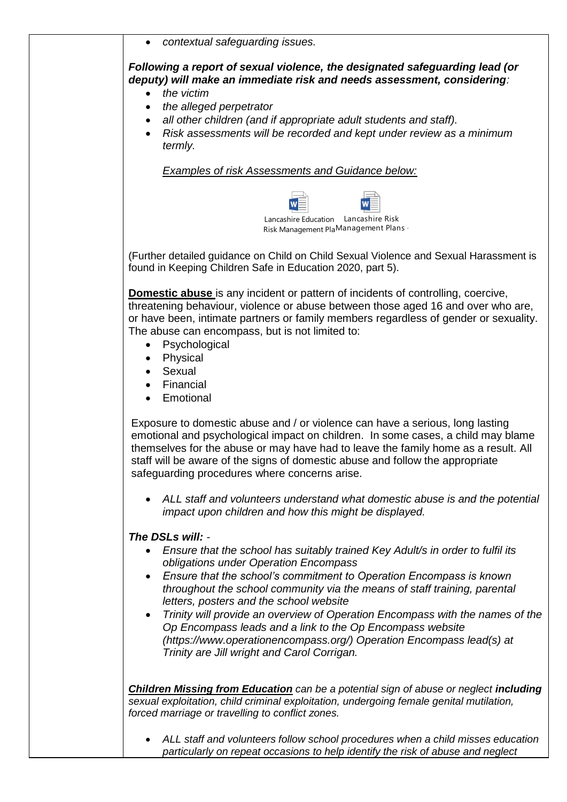*contextual safeguarding issues.*

*Following a report of sexual violence, the designated safeguarding lead (or deputy) will make an immediate risk and needs assessment, considering:* 

- *the victim*
- *the alleged perpetrator*
- *all other children (and if appropriate adult students and staff).*
- *Risk assessments will be recorded and kept under review as a minimum termly.*

*Examples of risk Assessments and Guidance below:*



(Further detailed guidance on Child on Child Sexual Violence and Sexual Harassment is found in Keeping Children Safe in Education 2020, part 5).

**Domestic abuse** is any incident or pattern of incidents of controlling, coercive, threatening behaviour, violence or abuse between those aged 16 and over who are, or have been, intimate partners or family members regardless of gender or sexuality. The abuse can encompass, but is not limited to:

- Psychological
- Physical
- Sexual
- Financial
- Emotional

Exposure to domestic abuse and / or violence can have a serious, long lasting emotional and psychological impact on children. In some cases, a child may blame themselves for the abuse or may have had to leave the family home as a result. All staff will be aware of the signs of domestic abuse and follow the appropriate safeguarding procedures where concerns arise.

 *ALL staff and volunteers understand what domestic abuse is and the potential impact upon children and how this might be displayed.* 

## *The DSLs will: -*

- *Ensure that the school has suitably trained Key Adult/s in order to fulfil its obligations under Operation Encompass*
- *Ensure that the school's commitment to Operation Encompass is known throughout the school community via the means of staff training, parental letters, posters and the school website*
- *Trinity will provide an overview of Operation Encompass with the names of the Op Encompass leads and a link to the Op Encompass website [\(https://www.operationencompass.org/\)](https://www.operationencompass.org/) Operation Encompass lead(s) at Trinity are Jill wright and Carol Corrigan.*

**Children Missing from Education** can be a potential sign of abuse or neglect *including sexual exploitation, child criminal exploitation, undergoing female genital mutilation, forced marriage or travelling to conflict zones.* 

 *ALL staff and volunteers follow school procedures when a child misses education particularly on repeat occasions to help identify the risk of abuse and neglect*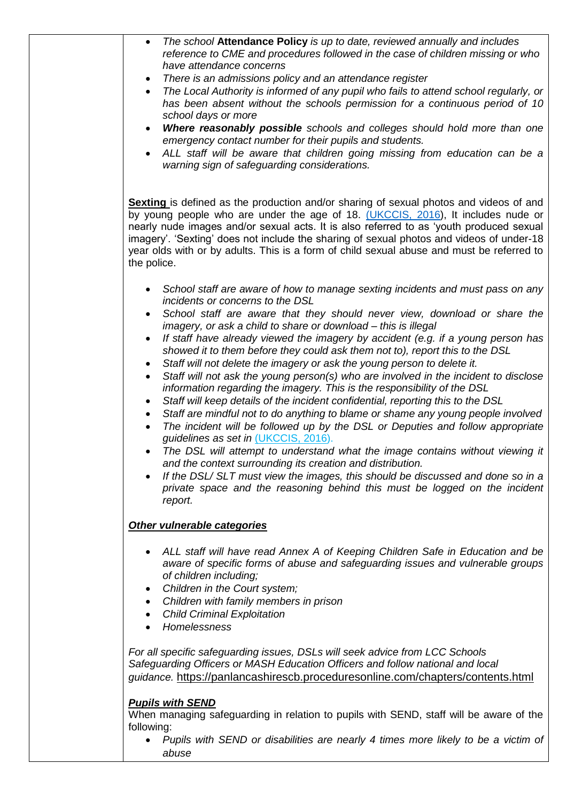| $\bullet$                           | The school Attendance Policy is up to date, reviewed annually and includes<br>reference to CME and procedures followed in the case of children missing or who<br>have attendance concerns                                                                                                                                                                                                                                                                      |
|-------------------------------------|----------------------------------------------------------------------------------------------------------------------------------------------------------------------------------------------------------------------------------------------------------------------------------------------------------------------------------------------------------------------------------------------------------------------------------------------------------------|
|                                     | There is an admissions policy and an attendance register                                                                                                                                                                                                                                                                                                                                                                                                       |
|                                     | The Local Authority is informed of any pupil who fails to attend school regularly, or                                                                                                                                                                                                                                                                                                                                                                          |
|                                     | has been absent without the schools permission for a continuous period of 10<br>school days or more                                                                                                                                                                                                                                                                                                                                                            |
|                                     | <b>Where reasonably possible</b> schools and colleges should hold more than one<br>emergency contact number for their pupils and students.                                                                                                                                                                                                                                                                                                                     |
|                                     | ALL staff will be aware that children going missing from education can be a<br>warning sign of safeguarding considerations.                                                                                                                                                                                                                                                                                                                                    |
| the police.                         | Sexting is defined as the production and/or sharing of sexual photos and videos of and<br>by young people who are under the age of 18. (UKCCIS, 2016), It includes nude or<br>nearly nude images and/or sexual acts. It is also referred to as 'youth produced sexual<br>imagery'. 'Sexting' does not include the sharing of sexual photos and videos of under-18<br>year olds with or by adults. This is a form of child sexual abuse and must be referred to |
|                                     | School staff are aware of how to manage sexting incidents and must pass on any<br>incidents or concerns to the DSL                                                                                                                                                                                                                                                                                                                                             |
|                                     | School staff are aware that they should never view, download or share the<br>imagery, or ask a child to share or download - this is illegal                                                                                                                                                                                                                                                                                                                    |
| $\bullet$                           | If staff have already viewed the imagery by accident (e.g. if a young person has<br>showed it to them before they could ask them not to), report this to the DSL<br>Staff will not delete the imagery or ask the young person to delete it.                                                                                                                                                                                                                    |
| $\bullet$                           | Staff will not ask the young person(s) who are involved in the incident to disclose<br>information regarding the imagery. This is the responsibility of the DSL                                                                                                                                                                                                                                                                                                |
| $\bullet$<br>$\bullet$<br>$\bullet$ | Staff will keep details of the incident confidential, reporting this to the DSL<br>Staff are mindful not to do anything to blame or shame any young people involved<br>The incident will be followed up by the DSL or Deputies and follow appropriate<br>guidelines as set in (UKCCIS, 2016).                                                                                                                                                                  |
|                                     | The DSL will attempt to understand what the image contains without viewing it<br>and the context surrounding its creation and distribution.                                                                                                                                                                                                                                                                                                                    |
|                                     | If the DSL/SLT must view the images, this should be discussed and done so in a<br>private space and the reasoning behind this must be logged on the incident<br>report.                                                                                                                                                                                                                                                                                        |
|                                     | Other vulnerable categories                                                                                                                                                                                                                                                                                                                                                                                                                                    |
|                                     | ALL staff will have read Annex A of Keeping Children Safe in Education and be<br>aware of specific forms of abuse and safeguarding issues and vulnerable groups<br>of children including;                                                                                                                                                                                                                                                                      |
| ٠                                   | Children in the Court system;                                                                                                                                                                                                                                                                                                                                                                                                                                  |
| $\bullet$                           | Children with family members in prison<br><b>Child Criminal Exploitation</b>                                                                                                                                                                                                                                                                                                                                                                                   |
| ٠                                   | Homelessness                                                                                                                                                                                                                                                                                                                                                                                                                                                   |
|                                     | For all specific safeguarding issues, DSLs will seek advice from LCC Schools<br>Safeguarding Officers or MASH Education Officers and follow national and local                                                                                                                                                                                                                                                                                                 |
|                                     | guidance. https://panlancashirescb.proceduresonline.com/chapters/contents.html                                                                                                                                                                                                                                                                                                                                                                                 |
|                                     | <b>Pupils with SEND</b><br>When managing safeguarding in relation to pupils with SEND, staff will be aware of the                                                                                                                                                                                                                                                                                                                                              |
| following:                          |                                                                                                                                                                                                                                                                                                                                                                                                                                                                |
|                                     | Pupils with SEND or disabilities are nearly 4 times more likely to be a victim of                                                                                                                                                                                                                                                                                                                                                                              |

*abuse*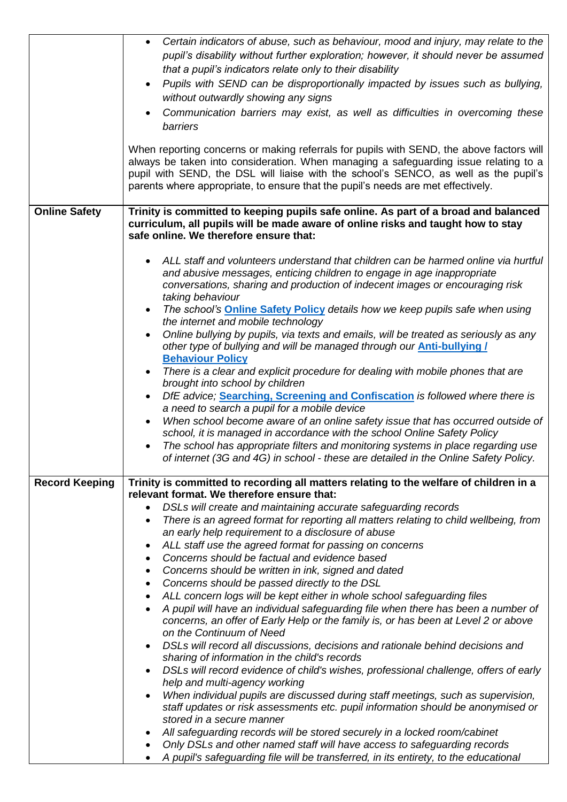|                       | Certain indicators of abuse, such as behaviour, mood and injury, may relate to the<br>pupil's disability without further exploration; however, it should never be assumed<br>that a pupil's indicators relate only to their disability<br>Pupils with SEND can be disproportionally impacted by issues such as bullying,<br>$\bullet$<br>without outwardly showing any signs<br>Communication barriers may exist, as well as difficulties in overcoming these<br>$\bullet$<br>barriers<br>When reporting concerns or making referrals for pupils with SEND, the above factors will<br>always be taken into consideration. When managing a safeguarding issue relating to a<br>pupil with SEND, the DSL will liaise with the school's SENCO, as well as the pupil's<br>parents where appropriate, to ensure that the pupil's needs are met effectively. |
|-----------------------|--------------------------------------------------------------------------------------------------------------------------------------------------------------------------------------------------------------------------------------------------------------------------------------------------------------------------------------------------------------------------------------------------------------------------------------------------------------------------------------------------------------------------------------------------------------------------------------------------------------------------------------------------------------------------------------------------------------------------------------------------------------------------------------------------------------------------------------------------------|
|                       |                                                                                                                                                                                                                                                                                                                                                                                                                                                                                                                                                                                                                                                                                                                                                                                                                                                        |
| <b>Online Safety</b>  | Trinity is committed to keeping pupils safe online. As part of a broad and balanced<br>curriculum, all pupils will be made aware of online risks and taught how to stay<br>safe online. We therefore ensure that:                                                                                                                                                                                                                                                                                                                                                                                                                                                                                                                                                                                                                                      |
|                       | ALL staff and volunteers understand that children can be harmed online via hurtful<br>and abusive messages, enticing children to engage in age inappropriate<br>conversations, sharing and production of indecent images or encouraging risk<br>taking behaviour<br>The school's <b>Online Safety Policy</b> details how we keep pupils safe when using<br>$\bullet$<br>the internet and mobile technology                                                                                                                                                                                                                                                                                                                                                                                                                                             |
|                       | Online bullying by pupils, via texts and emails, will be treated as seriously as any<br>$\bullet$<br>other type of bullying and will be managed through our <b>Anti-bullying /</b><br><b>Behaviour Policy</b>                                                                                                                                                                                                                                                                                                                                                                                                                                                                                                                                                                                                                                          |
|                       | There is a clear and explicit procedure for dealing with mobile phones that are<br>brought into school by children                                                                                                                                                                                                                                                                                                                                                                                                                                                                                                                                                                                                                                                                                                                                     |
|                       | DfE advice; Searching, Screening and Confiscation is followed where there is<br>$\bullet$                                                                                                                                                                                                                                                                                                                                                                                                                                                                                                                                                                                                                                                                                                                                                              |
|                       | a need to search a pupil for a mobile device                                                                                                                                                                                                                                                                                                                                                                                                                                                                                                                                                                                                                                                                                                                                                                                                           |
|                       | When school become aware of an online safety issue that has occurred outside of<br>$\bullet$<br>school, it is managed in accordance with the school Online Safety Policy                                                                                                                                                                                                                                                                                                                                                                                                                                                                                                                                                                                                                                                                               |
|                       | The school has appropriate filters and monitoring systems in place regarding use<br>of internet (3G and 4G) in school - these are detailed in the Online Safety Policy.                                                                                                                                                                                                                                                                                                                                                                                                                                                                                                                                                                                                                                                                                |
| <b>Record Keeping</b> | Trinity is committed to recording all matters relating to the welfare of children in a                                                                                                                                                                                                                                                                                                                                                                                                                                                                                                                                                                                                                                                                                                                                                                 |
|                       | relevant format. We therefore ensure that:                                                                                                                                                                                                                                                                                                                                                                                                                                                                                                                                                                                                                                                                                                                                                                                                             |
|                       | DSLs will create and maintaining accurate safeguarding records                                                                                                                                                                                                                                                                                                                                                                                                                                                                                                                                                                                                                                                                                                                                                                                         |
|                       | There is an agreed format for reporting all matters relating to child wellbeing, from<br>٠                                                                                                                                                                                                                                                                                                                                                                                                                                                                                                                                                                                                                                                                                                                                                             |
|                       | an early help requirement to a disclosure of abuse                                                                                                                                                                                                                                                                                                                                                                                                                                                                                                                                                                                                                                                                                                                                                                                                     |
|                       | ALL staff use the agreed format for passing on concerns<br>٠<br>Concerns should be factual and evidence based<br>٠                                                                                                                                                                                                                                                                                                                                                                                                                                                                                                                                                                                                                                                                                                                                     |
|                       | Concerns should be written in ink, signed and dated<br>٠                                                                                                                                                                                                                                                                                                                                                                                                                                                                                                                                                                                                                                                                                                                                                                                               |
|                       | Concerns should be passed directly to the DSL<br>٠                                                                                                                                                                                                                                                                                                                                                                                                                                                                                                                                                                                                                                                                                                                                                                                                     |
|                       | ALL concern logs will be kept either in whole school safeguarding files                                                                                                                                                                                                                                                                                                                                                                                                                                                                                                                                                                                                                                                                                                                                                                                |
|                       | A pupil will have an individual safeguarding file when there has been a number of                                                                                                                                                                                                                                                                                                                                                                                                                                                                                                                                                                                                                                                                                                                                                                      |
|                       | concerns, an offer of Early Help or the family is, or has been at Level 2 or above<br>on the Continuum of Need                                                                                                                                                                                                                                                                                                                                                                                                                                                                                                                                                                                                                                                                                                                                         |
|                       | DSLs will record all discussions, decisions and rationale behind decisions and                                                                                                                                                                                                                                                                                                                                                                                                                                                                                                                                                                                                                                                                                                                                                                         |
|                       | sharing of information in the child's records                                                                                                                                                                                                                                                                                                                                                                                                                                                                                                                                                                                                                                                                                                                                                                                                          |
|                       | DSLs will record evidence of child's wishes, professional challenge, offers of early<br>help and multi-agency working                                                                                                                                                                                                                                                                                                                                                                                                                                                                                                                                                                                                                                                                                                                                  |
|                       | When individual pupils are discussed during staff meetings, such as supervision,<br>$\bullet$                                                                                                                                                                                                                                                                                                                                                                                                                                                                                                                                                                                                                                                                                                                                                          |
|                       | staff updates or risk assessments etc. pupil information should be anonymised or                                                                                                                                                                                                                                                                                                                                                                                                                                                                                                                                                                                                                                                                                                                                                                       |
|                       | stored in a secure manner                                                                                                                                                                                                                                                                                                                                                                                                                                                                                                                                                                                                                                                                                                                                                                                                                              |
|                       | All safeguarding records will be stored securely in a locked room/cabinet<br>Only DSLs and other named staff will have access to safeguarding records                                                                                                                                                                                                                                                                                                                                                                                                                                                                                                                                                                                                                                                                                                  |
|                       | A pupil's safeguarding file will be transferred, in its entirety, to the educational                                                                                                                                                                                                                                                                                                                                                                                                                                                                                                                                                                                                                                                                                                                                                                   |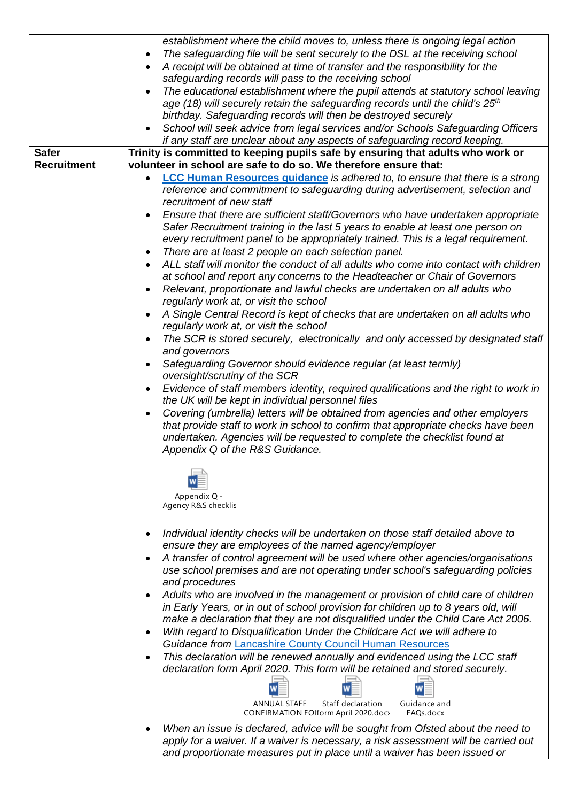|                    | establishment where the child moves to, unless there is ongoing legal action                      |
|--------------------|---------------------------------------------------------------------------------------------------|
|                    | The safeguarding file will be sent securely to the DSL at the receiving school                    |
|                    | $\bullet$                                                                                         |
|                    | A receipt will be obtained at time of transfer and the responsibility for the<br>$\bullet$        |
|                    | safeguarding records will pass to the receiving school                                            |
|                    | The educational establishment where the pupil attends at statutory school leaving                 |
|                    |                                                                                                   |
|                    | age (18) will securely retain the safeguarding records until the child's $25th$                   |
|                    | birthday. Safeguarding records will then be destroyed securely                                    |
|                    | School will seek advice from legal services and/or Schools Safeguarding Officers<br>$\bullet$     |
|                    | if any staff are unclear about any aspects of safeguarding record keeping.                        |
|                    |                                                                                                   |
| <b>Safer</b>       | Trinity is committed to keeping pupils safe by ensuring that adults who work or                   |
| <b>Recruitment</b> | volunteer in school are safe to do so. We therefore ensure that:                                  |
|                    | <b>LCC Human Resources guidance</b> is adhered to, to ensure that there is a strong<br>$\bullet$  |
|                    | reference and commitment to safeguarding during advertisement, selection and                      |
|                    | recruitment of new staff                                                                          |
|                    |                                                                                                   |
|                    | Ensure that there are sufficient staff/Governors who have undertaken appropriate                  |
|                    | Safer Recruitment training in the last 5 years to enable at least one person on                   |
|                    | every recruitment panel to be appropriately trained. This is a legal requirement.                 |
|                    | There are at least 2 people on each selection panel.<br>$\bullet$                                 |
|                    |                                                                                                   |
|                    | ALL staff will monitor the conduct of all adults who come into contact with children              |
|                    | at school and report any concerns to the Headteacher or Chair of Governors                        |
|                    | Relevant, proportionate and lawful checks are undertaken on all adults who<br>$\bullet$           |
|                    | regularly work at, or visit the school                                                            |
|                    |                                                                                                   |
|                    | A Single Central Record is kept of checks that are undertaken on all adults who                   |
|                    | regularly work at, or visit the school                                                            |
|                    | The SCR is stored securely, electronically and only accessed by designated staff<br>$\bullet$     |
|                    | and governors                                                                                     |
|                    | Safeguarding Governor should evidence regular (at least termly)<br>$\bullet$                      |
|                    |                                                                                                   |
|                    | oversight/scrutiny of the SCR                                                                     |
|                    | Evidence of staff members identity, required qualifications and the right to work in<br>$\bullet$ |
|                    | the UK will be kept in individual personnel files                                                 |
|                    | Covering (umbrella) letters will be obtained from agencies and other employers<br>$\bullet$       |
|                    | that provide staff to work in school to confirm that appropriate checks have been                 |
|                    |                                                                                                   |
|                    | undertaken. Agencies will be requested to complete the checklist found at                         |
|                    | Appendix Q of the R&S Guidance.                                                                   |
|                    |                                                                                                   |
|                    |                                                                                                   |
|                    |                                                                                                   |
|                    | Appendix Q -                                                                                      |
|                    | Agency R&S checklis                                                                               |
|                    |                                                                                                   |
|                    |                                                                                                   |
|                    | Individual identity checks will be undertaken on those staff detailed above to<br>$\bullet$       |
|                    | ensure they are employees of the named agency/employer                                            |
|                    |                                                                                                   |
|                    | A transfer of control agreement will be used where other agencies/organisations<br>$\bullet$      |
|                    | use school premises and are not operating under school's safeguarding policies                    |
|                    | and procedures                                                                                    |
|                    | Adults who are involved in the management or provision of child care of children<br>$\bullet$     |
|                    |                                                                                                   |
|                    | in Early Years, or in out of school provision for children up to 8 years old, will                |
|                    | make a declaration that they are not disqualified under the Child Care Act 2006.                  |
|                    | With regard to Disqualification Under the Childcare Act we will adhere to                         |
|                    | <b>Guidance from Lancashire County Council Human Resources</b>                                    |
|                    |                                                                                                   |
|                    | This declaration will be renewed annually and evidenced using the LCC staff<br>$\bullet$          |
|                    | declaration form April 2020. This form will be retained and stored securely.                      |
|                    |                                                                                                   |
|                    |                                                                                                   |
|                    | Staff declaration<br>Guidance and<br><b>ANNUAL STAFF</b>                                          |
|                    | CONFIRMATION FOlform April 2020.doc/<br>FAQs.docx                                                 |
|                    |                                                                                                   |
|                    | When an issue is declared, advice will be sought from Ofsted about the need to                    |
|                    | apply for a waiver. If a waiver is necessary, a risk assessment will be carried out               |
|                    | and proportionate measures put in place until a waiver has been issued or                         |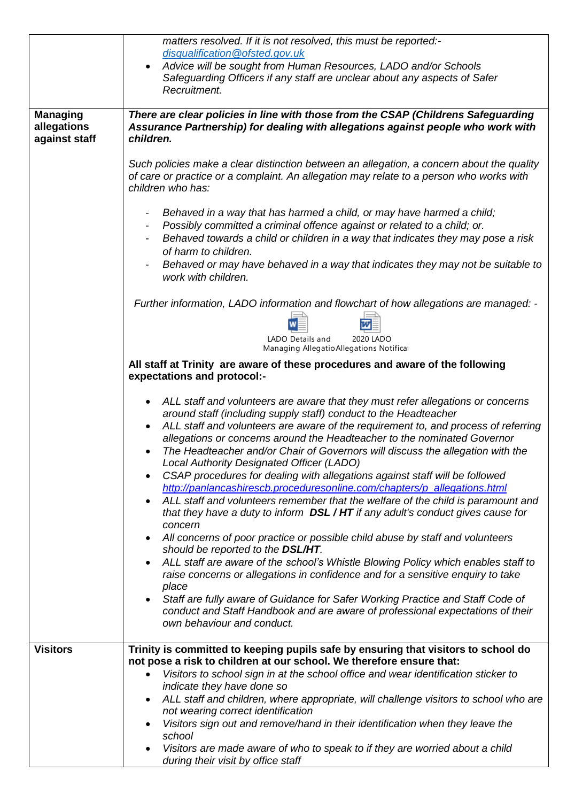|                                                 | matters resolved. If it is not resolved, this must be reported:-<br>disqualification@ofsted.gov.uk<br>Advice will be sought from Human Resources, LADO and/or Schools<br>$\bullet$<br>Safeguarding Officers if any staff are unclear about any aspects of Safer<br>Recruitment.                                                                                                                                                                                                                                                                                                                                                                                                                                                                                                                                                                                                                                                                                                                                                                                                                                                                                                                                                                                                                                                                                                          |  |  |
|-------------------------------------------------|------------------------------------------------------------------------------------------------------------------------------------------------------------------------------------------------------------------------------------------------------------------------------------------------------------------------------------------------------------------------------------------------------------------------------------------------------------------------------------------------------------------------------------------------------------------------------------------------------------------------------------------------------------------------------------------------------------------------------------------------------------------------------------------------------------------------------------------------------------------------------------------------------------------------------------------------------------------------------------------------------------------------------------------------------------------------------------------------------------------------------------------------------------------------------------------------------------------------------------------------------------------------------------------------------------------------------------------------------------------------------------------|--|--|
| <b>Managing</b><br>allegations<br>against staff | There are clear policies in line with those from the CSAP (Childrens Safeguarding<br>Assurance Partnership) for dealing with allegations against people who work with<br>children.                                                                                                                                                                                                                                                                                                                                                                                                                                                                                                                                                                                                                                                                                                                                                                                                                                                                                                                                                                                                                                                                                                                                                                                                       |  |  |
|                                                 | Such policies make a clear distinction between an allegation, a concern about the quality<br>of care or practice or a complaint. An allegation may relate to a person who works with<br>children who has:                                                                                                                                                                                                                                                                                                                                                                                                                                                                                                                                                                                                                                                                                                                                                                                                                                                                                                                                                                                                                                                                                                                                                                                |  |  |
|                                                 | Behaved in a way that has harmed a child, or may have harmed a child;<br>Possibly committed a criminal offence against or related to a child; or.<br>Behaved towards a child or children in a way that indicates they may pose a risk<br>of harm to children.<br>Behaved or may have behaved in a way that indicates they may not be suitable to<br>work with children.                                                                                                                                                                                                                                                                                                                                                                                                                                                                                                                                                                                                                                                                                                                                                                                                                                                                                                                                                                                                                  |  |  |
|                                                 | Further information, LADO information and flowchart of how allegations are managed: -<br>LADO Details and<br>2020 LADO<br>Managing Allegatio Allegations Notificat                                                                                                                                                                                                                                                                                                                                                                                                                                                                                                                                                                                                                                                                                                                                                                                                                                                                                                                                                                                                                                                                                                                                                                                                                       |  |  |
|                                                 | All staff at Trinity are aware of these procedures and aware of the following<br>expectations and protocol:-                                                                                                                                                                                                                                                                                                                                                                                                                                                                                                                                                                                                                                                                                                                                                                                                                                                                                                                                                                                                                                                                                                                                                                                                                                                                             |  |  |
|                                                 | ALL staff and volunteers are aware that they must refer allegations or concerns<br>$\bullet$<br>around staff (including supply staff) conduct to the Headteacher<br>ALL staff and volunteers are aware of the requirement to, and process of referring<br>allegations or concerns around the Headteacher to the nominated Governor<br>The Headteacher and/or Chair of Governors will discuss the allegation with the<br>Local Authority Designated Officer (LADO)<br>CSAP procedures for dealing with allegations against staff will be followed<br>$\bullet$<br>http://panlancashirescb.proceduresonline.com/chapters/p_allegations.html<br>ALL staff and volunteers remember that the welfare of the child is paramount and<br>$\bullet$<br>that they have a duty to inform DSL / HT if any adult's conduct gives cause for<br>concern<br>All concerns of poor practice or possible child abuse by staff and volunteers<br>$\bullet$<br>should be reported to the DSL/HT.<br>ALL staff are aware of the school's Whistle Blowing Policy which enables staff to<br>$\bullet$<br>raise concerns or allegations in confidence and for a sensitive enquiry to take<br>place<br>Staff are fully aware of Guidance for Safer Working Practice and Staff Code of<br>$\bullet$<br>conduct and Staff Handbook and are aware of professional expectations of their<br>own behaviour and conduct. |  |  |
| <b>Visitors</b>                                 | Trinity is committed to keeping pupils safe by ensuring that visitors to school do<br>not pose a risk to children at our school. We therefore ensure that:<br>Visitors to school sign in at the school office and wear identification sticker to<br>indicate they have done so<br>ALL staff and children, where appropriate, will challenge visitors to school who are<br>$\bullet$<br>not wearing correct identification                                                                                                                                                                                                                                                                                                                                                                                                                                                                                                                                                                                                                                                                                                                                                                                                                                                                                                                                                                |  |  |
|                                                 | Visitors sign out and remove/hand in their identification when they leave the<br>$\bullet$<br>school<br>Visitors are made aware of who to speak to if they are worried about a child<br>$\bullet$<br>during their visit by office staff                                                                                                                                                                                                                                                                                                                                                                                                                                                                                                                                                                                                                                                                                                                                                                                                                                                                                                                                                                                                                                                                                                                                                  |  |  |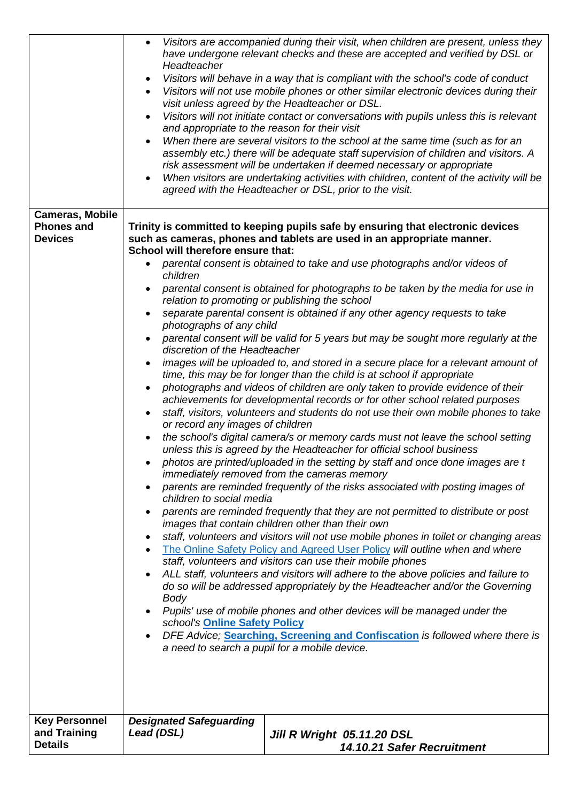|                                      | $\bullet$<br>Headteacher<br>and appropriate to the reason for their visit                                                                                                                                                                                                                                                                                                                                                                                                                                                                                                                                                                                                                                                                                                                                                                                                                                                                                                                                                                                                                                                                                                                                                                                                                      | Visitors are accompanied during their visit, when children are present, unless they<br>have undergone relevant checks and these are accepted and verified by DSL or<br>Visitors will behave in a way that is compliant with the school's code of conduct<br>Visitors will not use mobile phones or other similar electronic devices during their<br>visit unless agreed by the Headteacher or DSL.<br>Visitors will not initiate contact or conversations with pupils unless this is relevant<br>When there are several visitors to the school at the same time (such as for an<br>assembly etc.) there will be adequate staff supervision of children and visitors. A<br>risk assessment will be undertaken if deemed necessary or appropriate<br>When visitors are undertaking activities with children, content of the activity will be<br>agreed with the Headteacher or DSL, prior to the visit. |  |  |
|--------------------------------------|------------------------------------------------------------------------------------------------------------------------------------------------------------------------------------------------------------------------------------------------------------------------------------------------------------------------------------------------------------------------------------------------------------------------------------------------------------------------------------------------------------------------------------------------------------------------------------------------------------------------------------------------------------------------------------------------------------------------------------------------------------------------------------------------------------------------------------------------------------------------------------------------------------------------------------------------------------------------------------------------------------------------------------------------------------------------------------------------------------------------------------------------------------------------------------------------------------------------------------------------------------------------------------------------|-------------------------------------------------------------------------------------------------------------------------------------------------------------------------------------------------------------------------------------------------------------------------------------------------------------------------------------------------------------------------------------------------------------------------------------------------------------------------------------------------------------------------------------------------------------------------------------------------------------------------------------------------------------------------------------------------------------------------------------------------------------------------------------------------------------------------------------------------------------------------------------------------------|--|--|
| <b>Cameras, Mobile</b>               |                                                                                                                                                                                                                                                                                                                                                                                                                                                                                                                                                                                                                                                                                                                                                                                                                                                                                                                                                                                                                                                                                                                                                                                                                                                                                                |                                                                                                                                                                                                                                                                                                                                                                                                                                                                                                                                                                                                                                                                                                                                                                                                                                                                                                       |  |  |
| <b>Phones and</b>                    |                                                                                                                                                                                                                                                                                                                                                                                                                                                                                                                                                                                                                                                                                                                                                                                                                                                                                                                                                                                                                                                                                                                                                                                                                                                                                                | Trinity is committed to keeping pupils safe by ensuring that electronic devices                                                                                                                                                                                                                                                                                                                                                                                                                                                                                                                                                                                                                                                                                                                                                                                                                       |  |  |
| <b>Devices</b>                       |                                                                                                                                                                                                                                                                                                                                                                                                                                                                                                                                                                                                                                                                                                                                                                                                                                                                                                                                                                                                                                                                                                                                                                                                                                                                                                | such as cameras, phones and tablets are used in an appropriate manner.                                                                                                                                                                                                                                                                                                                                                                                                                                                                                                                                                                                                                                                                                                                                                                                                                                |  |  |
|                                      | School will therefore ensure that:                                                                                                                                                                                                                                                                                                                                                                                                                                                                                                                                                                                                                                                                                                                                                                                                                                                                                                                                                                                                                                                                                                                                                                                                                                                             |                                                                                                                                                                                                                                                                                                                                                                                                                                                                                                                                                                                                                                                                                                                                                                                                                                                                                                       |  |  |
|                                      | children                                                                                                                                                                                                                                                                                                                                                                                                                                                                                                                                                                                                                                                                                                                                                                                                                                                                                                                                                                                                                                                                                                                                                                                                                                                                                       | parental consent is obtained to take and use photographs and/or videos of                                                                                                                                                                                                                                                                                                                                                                                                                                                                                                                                                                                                                                                                                                                                                                                                                             |  |  |
|                                      |                                                                                                                                                                                                                                                                                                                                                                                                                                                                                                                                                                                                                                                                                                                                                                                                                                                                                                                                                                                                                                                                                                                                                                                                                                                                                                | parental consent is obtained for photographs to be taken by the media for use in                                                                                                                                                                                                                                                                                                                                                                                                                                                                                                                                                                                                                                                                                                                                                                                                                      |  |  |
|                                      | relation to promoting or publishing the school<br>separate parental consent is obtained if any other agency requests to take<br>photographs of any child<br>parental consent will be valid for 5 years but may be sought more regularly at the<br>discretion of the Headteacher                                                                                                                                                                                                                                                                                                                                                                                                                                                                                                                                                                                                                                                                                                                                                                                                                                                                                                                                                                                                                |                                                                                                                                                                                                                                                                                                                                                                                                                                                                                                                                                                                                                                                                                                                                                                                                                                                                                                       |  |  |
|                                      |                                                                                                                                                                                                                                                                                                                                                                                                                                                                                                                                                                                                                                                                                                                                                                                                                                                                                                                                                                                                                                                                                                                                                                                                                                                                                                |                                                                                                                                                                                                                                                                                                                                                                                                                                                                                                                                                                                                                                                                                                                                                                                                                                                                                                       |  |  |
|                                      |                                                                                                                                                                                                                                                                                                                                                                                                                                                                                                                                                                                                                                                                                                                                                                                                                                                                                                                                                                                                                                                                                                                                                                                                                                                                                                |                                                                                                                                                                                                                                                                                                                                                                                                                                                                                                                                                                                                                                                                                                                                                                                                                                                                                                       |  |  |
|                                      |                                                                                                                                                                                                                                                                                                                                                                                                                                                                                                                                                                                                                                                                                                                                                                                                                                                                                                                                                                                                                                                                                                                                                                                                                                                                                                | images will be uploaded to, and stored in a secure place for a relevant amount of                                                                                                                                                                                                                                                                                                                                                                                                                                                                                                                                                                                                                                                                                                                                                                                                                     |  |  |
|                                      |                                                                                                                                                                                                                                                                                                                                                                                                                                                                                                                                                                                                                                                                                                                                                                                                                                                                                                                                                                                                                                                                                                                                                                                                                                                                                                | time, this may be for longer than the child is at school if appropriate                                                                                                                                                                                                                                                                                                                                                                                                                                                                                                                                                                                                                                                                                                                                                                                                                               |  |  |
|                                      | photographs and videos of children are only taken to provide evidence of their                                                                                                                                                                                                                                                                                                                                                                                                                                                                                                                                                                                                                                                                                                                                                                                                                                                                                                                                                                                                                                                                                                                                                                                                                 |                                                                                                                                                                                                                                                                                                                                                                                                                                                                                                                                                                                                                                                                                                                                                                                                                                                                                                       |  |  |
|                                      | achievements for developmental records or for other school related purposes<br>staff, visitors, volunteers and students do not use their own mobile phones to take<br>or record any images of children<br>the school's digital camera/s or memory cards must not leave the school setting<br>unless this is agreed by the Headteacher for official school business<br>photos are printed/uploaded in the setting by staff and once done images are t<br>immediately removed from the cameras memory<br>parents are reminded frequently of the risks associated with posting images of<br>children to social media<br>parents are reminded frequently that they are not permitted to distribute or post<br>images that contain children other than their own<br>staff, volunteers and visitors will not use mobile phones in toilet or changing areas<br>The Online Safety Policy and Agreed User Policy will outline when and where<br>staff, volunteers and visitors can use their mobile phones<br>ALL staff, volunteers and visitors will adhere to the above policies and failure to<br>do so will be addressed appropriately by the Headteacher and/or the Governing<br>Body<br>Pupils' use of mobile phones and other devices will be managed under the<br>school's Online Safety Policy |                                                                                                                                                                                                                                                                                                                                                                                                                                                                                                                                                                                                                                                                                                                                                                                                                                                                                                       |  |  |
|                                      |                                                                                                                                                                                                                                                                                                                                                                                                                                                                                                                                                                                                                                                                                                                                                                                                                                                                                                                                                                                                                                                                                                                                                                                                                                                                                                |                                                                                                                                                                                                                                                                                                                                                                                                                                                                                                                                                                                                                                                                                                                                                                                                                                                                                                       |  |  |
|                                      |                                                                                                                                                                                                                                                                                                                                                                                                                                                                                                                                                                                                                                                                                                                                                                                                                                                                                                                                                                                                                                                                                                                                                                                                                                                                                                |                                                                                                                                                                                                                                                                                                                                                                                                                                                                                                                                                                                                                                                                                                                                                                                                                                                                                                       |  |  |
|                                      |                                                                                                                                                                                                                                                                                                                                                                                                                                                                                                                                                                                                                                                                                                                                                                                                                                                                                                                                                                                                                                                                                                                                                                                                                                                                                                |                                                                                                                                                                                                                                                                                                                                                                                                                                                                                                                                                                                                                                                                                                                                                                                                                                                                                                       |  |  |
|                                      |                                                                                                                                                                                                                                                                                                                                                                                                                                                                                                                                                                                                                                                                                                                                                                                                                                                                                                                                                                                                                                                                                                                                                                                                                                                                                                |                                                                                                                                                                                                                                                                                                                                                                                                                                                                                                                                                                                                                                                                                                                                                                                                                                                                                                       |  |  |
|                                      |                                                                                                                                                                                                                                                                                                                                                                                                                                                                                                                                                                                                                                                                                                                                                                                                                                                                                                                                                                                                                                                                                                                                                                                                                                                                                                |                                                                                                                                                                                                                                                                                                                                                                                                                                                                                                                                                                                                                                                                                                                                                                                                                                                                                                       |  |  |
|                                      |                                                                                                                                                                                                                                                                                                                                                                                                                                                                                                                                                                                                                                                                                                                                                                                                                                                                                                                                                                                                                                                                                                                                                                                                                                                                                                |                                                                                                                                                                                                                                                                                                                                                                                                                                                                                                                                                                                                                                                                                                                                                                                                                                                                                                       |  |  |
|                                      |                                                                                                                                                                                                                                                                                                                                                                                                                                                                                                                                                                                                                                                                                                                                                                                                                                                                                                                                                                                                                                                                                                                                                                                                                                                                                                |                                                                                                                                                                                                                                                                                                                                                                                                                                                                                                                                                                                                                                                                                                                                                                                                                                                                                                       |  |  |
|                                      |                                                                                                                                                                                                                                                                                                                                                                                                                                                                                                                                                                                                                                                                                                                                                                                                                                                                                                                                                                                                                                                                                                                                                                                                                                                                                                |                                                                                                                                                                                                                                                                                                                                                                                                                                                                                                                                                                                                                                                                                                                                                                                                                                                                                                       |  |  |
|                                      |                                                                                                                                                                                                                                                                                                                                                                                                                                                                                                                                                                                                                                                                                                                                                                                                                                                                                                                                                                                                                                                                                                                                                                                                                                                                                                |                                                                                                                                                                                                                                                                                                                                                                                                                                                                                                                                                                                                                                                                                                                                                                                                                                                                                                       |  |  |
|                                      | DFE Advice; Searching, Screening and Confiscation is followed where there is<br>a need to search a pupil for a mobile device.                                                                                                                                                                                                                                                                                                                                                                                                                                                                                                                                                                                                                                                                                                                                                                                                                                                                                                                                                                                                                                                                                                                                                                  |                                                                                                                                                                                                                                                                                                                                                                                                                                                                                                                                                                                                                                                                                                                                                                                                                                                                                                       |  |  |
|                                      |                                                                                                                                                                                                                                                                                                                                                                                                                                                                                                                                                                                                                                                                                                                                                                                                                                                                                                                                                                                                                                                                                                                                                                                                                                                                                                |                                                                                                                                                                                                                                                                                                                                                                                                                                                                                                                                                                                                                                                                                                                                                                                                                                                                                                       |  |  |
|                                      |                                                                                                                                                                                                                                                                                                                                                                                                                                                                                                                                                                                                                                                                                                                                                                                                                                                                                                                                                                                                                                                                                                                                                                                                                                                                                                |                                                                                                                                                                                                                                                                                                                                                                                                                                                                                                                                                                                                                                                                                                                                                                                                                                                                                                       |  |  |
|                                      |                                                                                                                                                                                                                                                                                                                                                                                                                                                                                                                                                                                                                                                                                                                                                                                                                                                                                                                                                                                                                                                                                                                                                                                                                                                                                                |                                                                                                                                                                                                                                                                                                                                                                                                                                                                                                                                                                                                                                                                                                                                                                                                                                                                                                       |  |  |
|                                      |                                                                                                                                                                                                                                                                                                                                                                                                                                                                                                                                                                                                                                                                                                                                                                                                                                                                                                                                                                                                                                                                                                                                                                                                                                                                                                |                                                                                                                                                                                                                                                                                                                                                                                                                                                                                                                                                                                                                                                                                                                                                                                                                                                                                                       |  |  |
| <b>Key Personnel</b><br>and Training | <b>Designated Safeguarding</b><br>Lead (DSL)                                                                                                                                                                                                                                                                                                                                                                                                                                                                                                                                                                                                                                                                                                                                                                                                                                                                                                                                                                                                                                                                                                                                                                                                                                                   | Jill R Wright 05.11.20 DSL                                                                                                                                                                                                                                                                                                                                                                                                                                                                                                                                                                                                                                                                                                                                                                                                                                                                            |  |  |
| <b>Details</b>                       |                                                                                                                                                                                                                                                                                                                                                                                                                                                                                                                                                                                                                                                                                                                                                                                                                                                                                                                                                                                                                                                                                                                                                                                                                                                                                                | 14.10.21 Safer Recruitment                                                                                                                                                                                                                                                                                                                                                                                                                                                                                                                                                                                                                                                                                                                                                                                                                                                                            |  |  |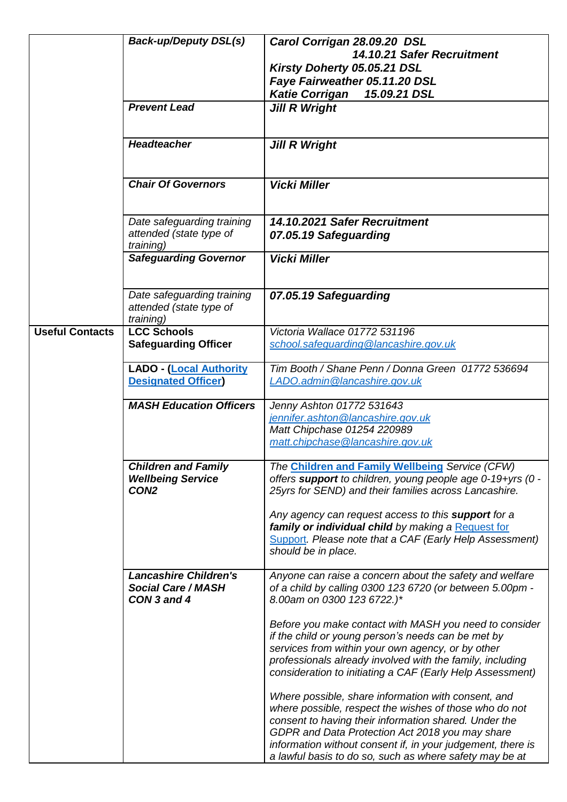|                        | <b>Back-up/Deputy DSL(s)</b>                                               | Carol Corrigan 28.09.20 DSL<br>14.10.21 Safer Recruitment<br>Kirsty Doherty 05.05.21 DSL<br>Faye Fairweather 05.11.20 DSL<br><b>Katie Corrigan</b><br>15.09.21 DSL                                                                                                                                                                                  |
|------------------------|----------------------------------------------------------------------------|-----------------------------------------------------------------------------------------------------------------------------------------------------------------------------------------------------------------------------------------------------------------------------------------------------------------------------------------------------|
|                        | <b>Prevent Lead</b>                                                        | <b>Jill R Wright</b>                                                                                                                                                                                                                                                                                                                                |
|                        | <b>Headteacher</b>                                                         | <b>Jill R Wright</b>                                                                                                                                                                                                                                                                                                                                |
|                        | <b>Chair Of Governors</b>                                                  | <b>Vicki Miller</b>                                                                                                                                                                                                                                                                                                                                 |
|                        | Date safeguarding training<br>attended (state type of<br>training)         | 14.10.2021 Safer Recruitment<br>07.05.19 Safeguarding                                                                                                                                                                                                                                                                                               |
|                        | <b>Safeguarding Governor</b>                                               | <b>Vicki Miller</b>                                                                                                                                                                                                                                                                                                                                 |
|                        | Date safeguarding training<br>attended (state type of<br>training)         | 07.05.19 Safeguarding                                                                                                                                                                                                                                                                                                                               |
| <b>Useful Contacts</b> | <b>LCC Schools</b><br><b>Safeguarding Officer</b>                          | Victoria Wallace 01772 531196<br>school.safequarding@lancashire.gov.uk                                                                                                                                                                                                                                                                              |
|                        | <b>LADO - (Local Authority</b><br><b>Designated Officer</b>                | Tim Booth / Shane Penn / Donna Green 01772 536694<br>LADO.admin@lancashire.gov.uk                                                                                                                                                                                                                                                                   |
|                        | <b>MASH Education Officers</b>                                             | Jenny Ashton 01772 531643<br>jennifer.ashton@lancashire.gov.uk<br>Matt Chipchase 01254 220989<br>matt.chipchase@lancashire.gov.uk                                                                                                                                                                                                                   |
|                        | <b>Children and Family</b><br><b>Wellbeing Service</b><br>CON <sub>2</sub> | The Children and Family Wellbeing Service (CFW)<br>offers support to children, young people age 0-19+yrs (0 -<br>25yrs for SEND) and their families across Lancashire.                                                                                                                                                                              |
|                        |                                                                            | Any agency can request access to this <b>support</b> for a<br>family or individual child by making a Request for<br>Support. Please note that a CAF (Early Help Assessment)<br>should be in place.                                                                                                                                                  |
|                        | <b>Lancashire Children's</b><br><b>Social Care / MASH</b><br>CON 3 and 4   | Anyone can raise a concern about the safety and welfare<br>of a child by calling 0300 123 6720 (or between 5.00pm -<br>8.00am on 0300 123 6722.)*                                                                                                                                                                                                   |
|                        |                                                                            | Before you make contact with MASH you need to consider<br>if the child or young person's needs can be met by<br>services from within your own agency, or by other<br>professionals already involved with the family, including<br>consideration to initiating a CAF (Early Help Assessment)                                                         |
|                        |                                                                            | Where possible, share information with consent, and<br>where possible, respect the wishes of those who do not<br>consent to having their information shared. Under the<br>GDPR and Data Protection Act 2018 you may share<br>information without consent if, in your judgement, there is<br>a lawful basis to do so, such as where safety may be at |